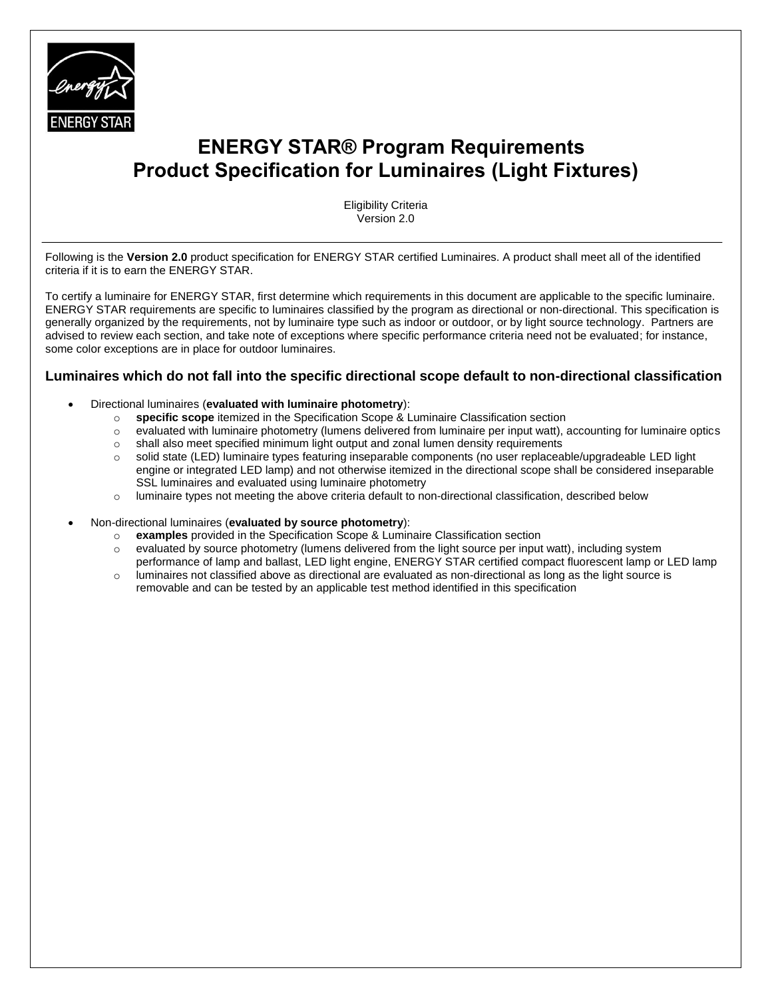

# <span id="page-0-0"></span> **ENERGY STAR® Program Requirements Product Specification for Luminaires (Light Fixtures)**

Eligibility Criteria Version 2.0

Following is the **Version 2.0** product specification for ENERGY STAR certified Luminaires. A product shall meet all of the identified criteria if it is to earn the ENERGY STAR.

To certify a luminaire for ENERGY STAR, first determine which requirements in this document are applicable to the specific luminaire. ENERGY STAR requirements are specific to luminaires classified by the program as directional or non-directional. This specification is generally organized by the requirements, not by luminaire type such as indoor or outdoor, or by light source technology. Partners are advised to review each section, and take note of exceptions where specific performance criteria need not be evaluated; for instance, some color exceptions are in place for outdoor luminaires.

#### **Luminaires which do not fall into the specific directional scope default to non-directional classification**

- Directional luminaires (**evaluated with luminaire photometry**):
	- o **specific scope** itemized in the Specification Scope & Luminaire Classification section
	- o evaluated with luminaire photometry (lumens delivered from luminaire per input watt), accounting for luminaire optics
	- o shall also meet specified minimum light output and zonal lumen density requirements
	- o solid state (LED) luminaire types featuring inseparable components (no user replaceable/upgradeable LED light engine or integrated LED lamp) and not otherwise itemized in the directional scope shall be considered inseparable SSL luminaires and evaluated using luminaire photometry
	- $\circ$  luminaire types not meeting the above criteria default to non-directional classification, described below
- Non-directional luminaires (**evaluated by source photometry**):
	- o **examples** provided in the Specification Scope & Luminaire Classification section
	- $\circ$  evaluated by source photometry (lumens delivered from the light source per input watt), including system
	- performance of lamp and ballast, LED light engine, ENERGY STAR certified compact fluorescent lamp or LED lamp  $\circ$  luminaires not classified above as directional are evaluated as non-directional as long as the light source is
		- removable and can be tested by an applicable test method identified in this specification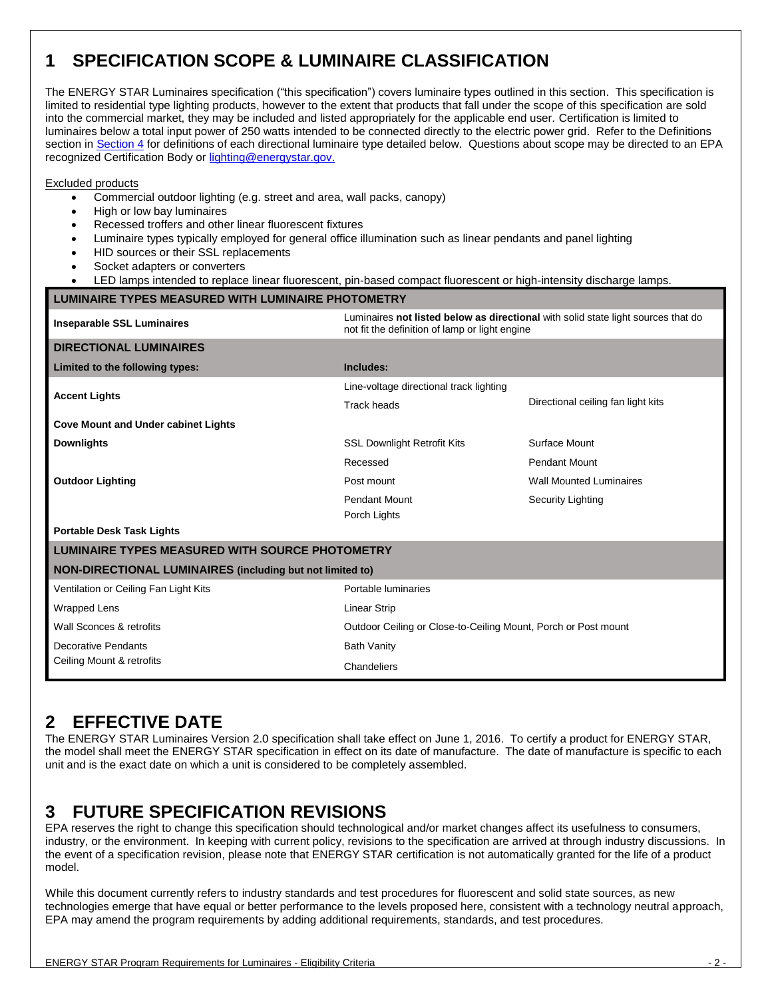# <span id="page-1-0"></span>**1 SPECIFICATION SCOPE & LUMINAIRE CLASSIFICATION**

The ENERGY STAR Luminaires specification ("this specification") covers luminaire types outlined in this section. This specification is limited to residential type lighting products, however to the extent that products that fall under the scope of this specification are sold into the commercial market, they may be included and listed appropriately for the applicable end user. Certification is limited to luminaires below a total input power of 250 watts intended to be connected directly to the electric power grid. Refer to the Definitions section i[n Section 4](#page-3-0) for definitions of each directional luminaire type detailed below. Questions about scope may be directed to an EPA recognized Certification Body or [lighting@energystar.gov.](mailto:luminaires@energystar.gov?subject=ENERGY_STAR_Luminaires_V1.1:_Question_About_Scope)

#### Excluded products

- Commercial outdoor lighting (e.g. street and area, wall packs, canopy)
- High or low bay luminaires
- Recessed troffers and other linear fluorescent fixtures
- Luminaire types typically employed for general office illumination such as linear pendants and panel lighting
- HID sources or their SSL replacements
- Socket adapters or converters
- LED lamps intended to replace linear fluorescent, pin-based compact fluorescent or high-intensity discharge lamps.

#### **LUMINAIRE TYPES MEASURED WITH LUMINAIRE PHOTOMETRY**

| <b>Inseparable SSL Luminaires</b>                                | Luminaires not listed below as directional with solid state light sources that do<br>not fit the definition of lamp or light engine |                                    |  |
|------------------------------------------------------------------|-------------------------------------------------------------------------------------------------------------------------------------|------------------------------------|--|
| <b>DIRECTIONAL LUMINAIRES</b>                                    |                                                                                                                                     |                                    |  |
| Limited to the following types:                                  | Includes:                                                                                                                           |                                    |  |
| <b>Accent Lights</b>                                             | Line-voltage directional track lighting                                                                                             |                                    |  |
|                                                                  | <b>Track heads</b>                                                                                                                  | Directional ceiling fan light kits |  |
| <b>Cove Mount and Under cabinet Lights</b>                       |                                                                                                                                     |                                    |  |
| <b>Downlights</b>                                                | <b>SSL Downlight Retrofit Kits</b>                                                                                                  | Surface Mount                      |  |
|                                                                  | Recessed                                                                                                                            | <b>Pendant Mount</b>               |  |
| <b>Outdoor Lighting</b>                                          | Post mount                                                                                                                          | <b>Wall Mounted Luminaires</b>     |  |
|                                                                  | <b>Pendant Mount</b>                                                                                                                | <b>Security Lighting</b>           |  |
|                                                                  | Porch Lights                                                                                                                        |                                    |  |
| <b>Portable Desk Task Lights</b>                                 |                                                                                                                                     |                                    |  |
| <b>LUMINAIRE TYPES MEASURED WITH SOURCE PHOTOMETRY</b>           |                                                                                                                                     |                                    |  |
| <b>NON-DIRECTIONAL LUMINAIRES</b> (including but not limited to) |                                                                                                                                     |                                    |  |
| Ventilation or Ceiling Fan Light Kits                            | Portable luminaries                                                                                                                 |                                    |  |
| <b>Wrapped Lens</b>                                              | <b>Linear Strip</b>                                                                                                                 |                                    |  |
| Wall Sconces & retrofits                                         | Outdoor Ceiling or Close-to-Ceiling Mount, Porch or Post mount                                                                      |                                    |  |
| Decorative Pendants                                              | <b>Bath Vanity</b>                                                                                                                  |                                    |  |
| Ceiling Mount & retrofits                                        | Chandeliers                                                                                                                         |                                    |  |

### <span id="page-1-1"></span>**2 EFFECTIVE DATE**

The ENERGY STAR Luminaires Version 2.0 specification shall take effect on June 1, 2016. To certify a product for ENERGY STAR, the model shall meet the ENERGY STAR specification in effect on its date of manufacture. The date of manufacture is specific to each unit and is the exact date on which a unit is considered to be completely assembled.

### <span id="page-1-2"></span>**3 FUTURE SPECIFICATION REVISIONS**

EPA reserves the right to change this specification should technological and/or market changes affect its usefulness to consumers, industry, or the environment. In keeping with current policy, revisions to the specification are arrived at through industry discussions. In the event of a specification revision, please note that ENERGY STAR certification is not automatically granted for the life of a product model.

While this document currently refers to industry standards and test procedures for fluorescent and solid state sources, as new technologies emerge that have equal or better performance to the levels proposed here, consistent with a technology neutral approach, EPA may amend the program requirements by adding additional requirements, standards, and test procedures.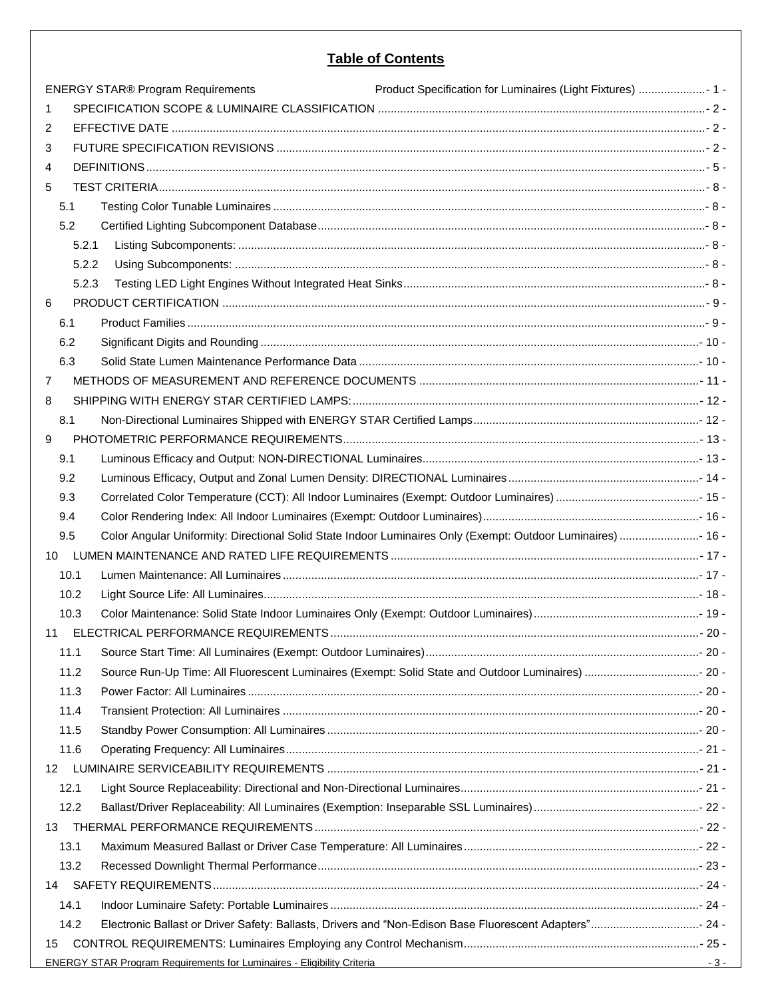### **Table of Contents**

|                 | <b>ENERGY STAR® Program Requirements</b>                                                                                                                                                                                       | Product Specification for Luminaires (Light Fixtures)  1 - |       |  |  |
|-----------------|--------------------------------------------------------------------------------------------------------------------------------------------------------------------------------------------------------------------------------|------------------------------------------------------------|-------|--|--|
| 1.              |                                                                                                                                                                                                                                |                                                            |       |  |  |
| 2               |                                                                                                                                                                                                                                |                                                            |       |  |  |
| 3               |                                                                                                                                                                                                                                |                                                            |       |  |  |
| 4               |                                                                                                                                                                                                                                |                                                            |       |  |  |
| 5               |                                                                                                                                                                                                                                |                                                            |       |  |  |
| 5.1             |                                                                                                                                                                                                                                |                                                            |       |  |  |
| 5.2             |                                                                                                                                                                                                                                |                                                            |       |  |  |
| 5.2.1           | - 8 - للمستنسسين المستنسسين المستنسسين المستنسسين المستنسسين المستنسسين المستنسسين المستنسسين المستنبر المستنبر المستنبر المستنبر المستنبر المستنبر المستنبر المستنبر المستنبر المستنبر المستنبر المستنبر المستنبر المستنبر ال |                                                            |       |  |  |
| 5.2.2           |                                                                                                                                                                                                                                |                                                            |       |  |  |
| 5.2.3           |                                                                                                                                                                                                                                |                                                            |       |  |  |
| 6               |                                                                                                                                                                                                                                |                                                            |       |  |  |
| 6.1             | - 9 - يسبب المستندر المستندر المستندر المستندر المستندر المستندر المستندر المستندر المستندر المستندر المستندر المستندر المستندر المستندر المستندر المستندر المستندر المستندر المستندر المستندر المستندر المستندر المستندر المس |                                                            |       |  |  |
| 6.2             |                                                                                                                                                                                                                                |                                                            |       |  |  |
| 6.3             |                                                                                                                                                                                                                                |                                                            |       |  |  |
| $\overline{7}$  |                                                                                                                                                                                                                                |                                                            |       |  |  |
| 8               |                                                                                                                                                                                                                                |                                                            |       |  |  |
| 8.1             |                                                                                                                                                                                                                                |                                                            |       |  |  |
| 9               |                                                                                                                                                                                                                                |                                                            |       |  |  |
| 9.1             |                                                                                                                                                                                                                                |                                                            |       |  |  |
| 9.2             |                                                                                                                                                                                                                                |                                                            |       |  |  |
| 9.3             |                                                                                                                                                                                                                                |                                                            |       |  |  |
| 9.4             |                                                                                                                                                                                                                                |                                                            |       |  |  |
| 9.5             | Color Angular Uniformity: Directional Solid State Indoor Luminaires Only (Exempt: Outdoor Luminaires)  16 -                                                                                                                    |                                                            |       |  |  |
| 10 <sup>°</sup> |                                                                                                                                                                                                                                |                                                            |       |  |  |
| 10.1            |                                                                                                                                                                                                                                |                                                            |       |  |  |
| 10.2            |                                                                                                                                                                                                                                |                                                            |       |  |  |
| 10.3            |                                                                                                                                                                                                                                |                                                            |       |  |  |
| 11              |                                                                                                                                                                                                                                |                                                            |       |  |  |
| 11.1            |                                                                                                                                                                                                                                |                                                            |       |  |  |
| 11.2            |                                                                                                                                                                                                                                |                                                            |       |  |  |
| 11.3            |                                                                                                                                                                                                                                |                                                            |       |  |  |
| 11.4            |                                                                                                                                                                                                                                |                                                            |       |  |  |
| 11.5            |                                                                                                                                                                                                                                |                                                            |       |  |  |
| 11.6            |                                                                                                                                                                                                                                |                                                            |       |  |  |
| 12 <sup>2</sup> |                                                                                                                                                                                                                                |                                                            |       |  |  |
| 12.1            |                                                                                                                                                                                                                                |                                                            |       |  |  |
| 12.2            |                                                                                                                                                                                                                                |                                                            |       |  |  |
| 13              |                                                                                                                                                                                                                                |                                                            |       |  |  |
| 13.1            |                                                                                                                                                                                                                                |                                                            |       |  |  |
| 13.2            |                                                                                                                                                                                                                                |                                                            |       |  |  |
| 14              |                                                                                                                                                                                                                                |                                                            |       |  |  |
| 14.1            |                                                                                                                                                                                                                                |                                                            |       |  |  |
| 14.2            | Electronic Ballast or Driver Safety: Ballasts, Drivers and "Non-Edison Base Fluorescent Adapters" 24 -                                                                                                                         |                                                            |       |  |  |
| 15              |                                                                                                                                                                                                                                |                                                            |       |  |  |
|                 | ENERGY STAR Program Requirements for Luminaires - Eligibility Criteria Change of Change and Change of Change and Change and Change and Change and Change and Change and Change and Change and Change and Change and Change and |                                                            | $-3-$ |  |  |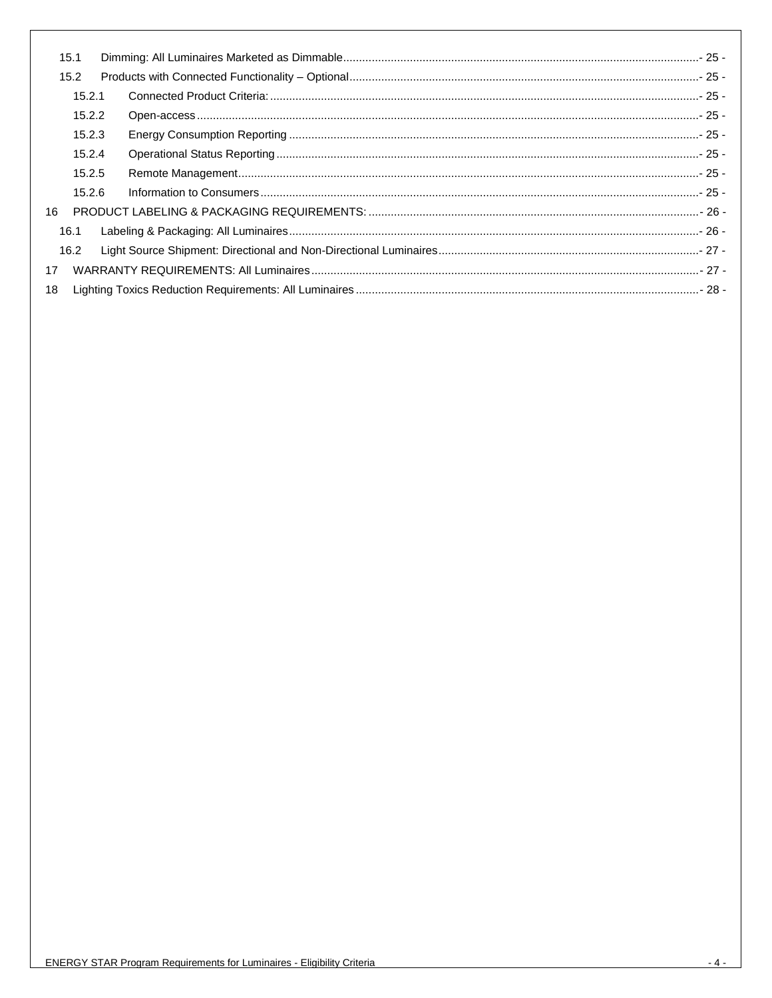<span id="page-3-0"></span>

|    | 15.1   |  |  |  |
|----|--------|--|--|--|
|    | 15.2   |  |  |  |
|    | 15.2.1 |  |  |  |
|    | 15.2.2 |  |  |  |
|    | 15.2.3 |  |  |  |
|    | 15.2.4 |  |  |  |
|    | 15.2.5 |  |  |  |
|    | 15.2.6 |  |  |  |
| 16 |        |  |  |  |
|    | 16.1   |  |  |  |
|    | 16.2   |  |  |  |
| 17 |        |  |  |  |
| 18 |        |  |  |  |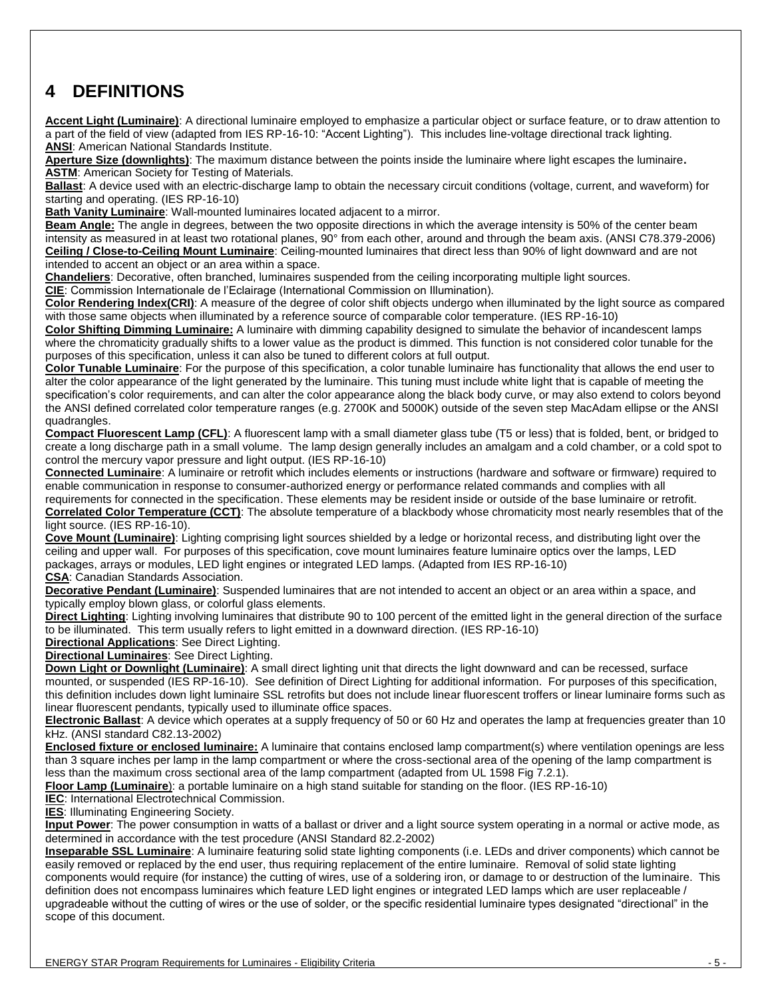### <span id="page-4-0"></span>**4 DEFINITIONS**

**Accent Light (Luminaire)**: A directional luminaire employed to emphasize a particular object or surface feature, or to draw attention to a part of the field of view (adapted from IES RP-16-10: "Accent Lighting"). This includes line-voltage directional track lighting. **ANSI**: American National Standards Institute.

**Aperture Size (downlights)**: The maximum distance between the points inside the luminaire where light escapes the luminaire**. ASTM: American Society for Testing of Materials.** 

**Ballast**: A device used with an electric-discharge lamp to obtain the necessary circuit conditions (voltage, current, and waveform) for starting and operating. (IES RP-16-10)

**Bath Vanity Luminaire**: Wall-mounted luminaires located adjacent to a mirror.

**Beam Angle:** The angle in degrees, between the two opposite directions in which the average intensity is 50% of the center beam intensity as measured in at least two rotational planes, 90° from each other, around and through the beam axis. (ANSI C78.379-2006) **Ceiling / Close-to-Ceiling Mount Luminaire**: Ceiling-mounted luminaires that direct less than 90% of light downward and are not intended to accent an object or an area within a space.

**Chandeliers**: Decorative, often branched, luminaires suspended from the ceiling incorporating multiple light sources.

**CIE**: Commission Internationale de l'Eclairage (International Commission on Illumination).

**Color Rendering Index(CRI)**: A measure of the degree of color shift objects undergo when illuminated by the light source as compared with those same objects when illuminated by a reference source of comparable color temperature. (IES RP-16-10)

**Color Shifting Dimming Luminaire:** A luminaire with dimming capability designed to simulate the behavior of incandescent lamps where the chromaticity gradually shifts to a lower value as the product is dimmed. This function is not considered color tunable for the purposes of this specification, unless it can also be tuned to different colors at full output.

**Color Tunable Luminaire**: For the purpose of this specification, a color tunable luminaire has functionality that allows the end user to alter the color appearance of the light generated by the luminaire. This tuning must include white light that is capable of meeting the specification's color requirements, and can alter the color appearance along the black body curve, or may also extend to colors beyond the ANSI defined correlated color temperature ranges (e.g. 2700K and 5000K) outside of the seven step MacAdam ellipse or the ANSI quadrangles.

**Compact Fluorescent Lamp (CFL)**: A fluorescent lamp with a small diameter glass tube (T5 or less) that is folded, bent, or bridged to create a long discharge path in a small volume. The lamp design generally includes an amalgam and a cold chamber, or a cold spot to control the mercury vapor pressure and light output. (IES RP-16-10)

**Connected Luminaire**: A luminaire or retrofit which includes elements or instructions (hardware and software or firmware) required to enable communication in response to consumer-authorized energy or performance related commands and complies with all requirements for connected in the specification. These elements may be resident inside or outside of the base luminaire or retrofit.

**Correlated Color Temperature (CCT)**: The absolute temperature of a blackbody whose chromaticity most nearly resembles that of the light source. (IES RP-16-10).

**Cove Mount (Luminaire)**: Lighting comprising light sources shielded by a ledge or horizontal recess, and distributing light over the ceiling and upper wall. For purposes of this specification, cove mount luminaires feature luminaire optics over the lamps, LED packages, arrays or modules, LED light engines or integrated LED lamps. (Adapted from IES RP-16-10)

**CSA**: Canadian Standards Association.

**Decorative Pendant (Luminaire)**: Suspended luminaires that are not intended to accent an object or an area within a space, and typically employ blown glass, or colorful glass elements.

**Direct Lighting**: Lighting involving luminaires that distribute 90 to 100 percent of the emitted light in the general direction of the surface to be illuminated. This term usually refers to light emitted in a downward direction. (IES RP-16-10)

**Directional Applications**: See Direct Lighting.

**Directional Luminaires**: See Direct Lighting.

**Down Light or Downlight (Luminaire)**: A small direct lighting unit that directs the light downward and can be recessed, surface mounted, or suspended (IES RP-16-10). See definition of Direct Lighting for additional information. For purposes of this specification, this definition includes down light luminaire SSL retrofits but does not include linear fluorescent troffers or linear luminaire forms such as linear fluorescent pendants, typically used to illuminate office spaces.

**Electronic Ballast**: A device which operates at a supply frequency of 50 or 60 Hz and operates the lamp at frequencies greater than 10 kHz. (ANSI standard C82.13-2002)

**Enclosed fixture or enclosed luminaire:** A luminaire that contains enclosed lamp compartment(s) where ventilation openings are less than 3 square inches per lamp in the lamp compartment or where the cross-sectional area of the opening of the lamp compartment is less than the maximum cross sectional area of the lamp compartment (adapted from UL 1598 Fig 7.2.1).

**Floor Lamp (Luminaire**): a portable luminaire on a high stand suitable for standing on the floor. (IES RP-16-10)

**IEC:** International Electrotechnical Commission.

**IES**: Illuminating Engineering Society.

**Input Power**: The power consumption in watts of a ballast or driver and a light source system operating in a normal or active mode, as determined in accordance with the test procedure (ANSI Standard 82.2-2002)

**Inseparable SSL Luminaire**: A luminaire featuring solid state lighting components (i.e. LEDs and driver components) which cannot be easily removed or replaced by the end user, thus requiring replacement of the entire luminaire. Removal of solid state lighting components would require (for instance) the cutting of wires, use of a soldering iron, or damage to or destruction of the luminaire. This definition does not encompass luminaires which feature LED light engines or integrated LED lamps which are user replaceable / upgradeable without the cutting of wires or the use of solder, or the specific residential luminaire types designated "directional" in the scope of this document.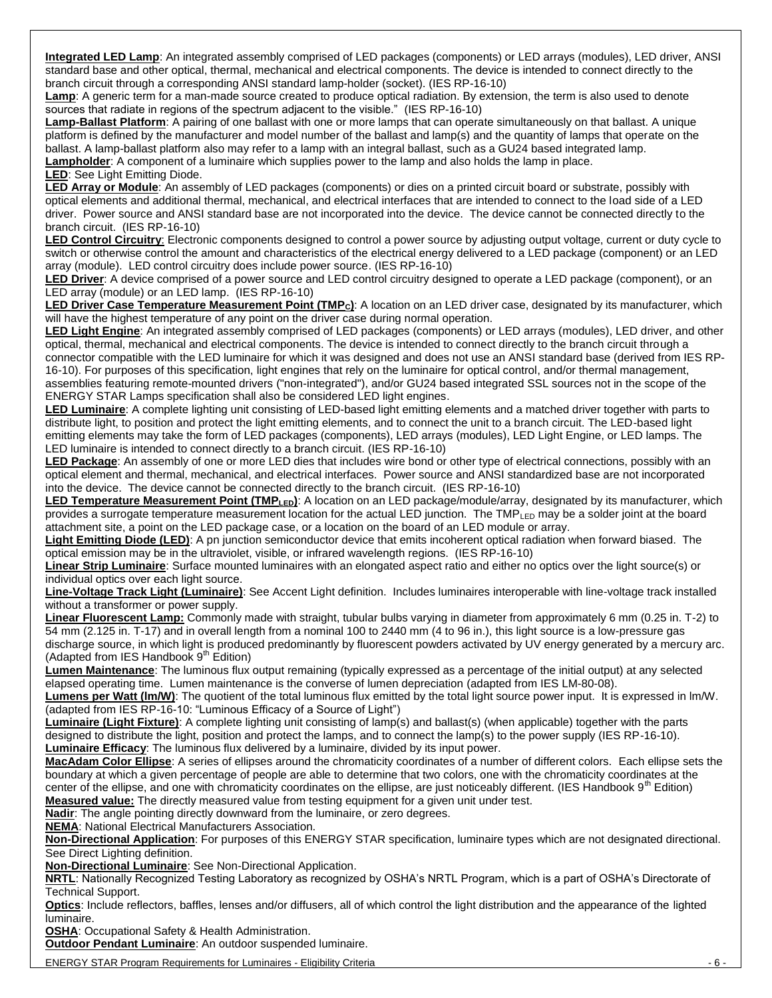**Integrated LED Lamp**: An integrated assembly comprised of LED packages (components) or LED arrays (modules), LED driver, ANSI standard base and other optical, thermal, mechanical and electrical components. The device is intended to connect directly to the branch circuit through a corresponding ANSI standard lamp-holder (socket). (IES RP-16-10)

**Lamp**: A generic term for a man-made source created to produce optical radiation. By extension, the term is also used to denote sources that radiate in regions of the spectrum adjacent to the visible." (IES RP-16-10)

**Lamp-Ballast Platform**: A pairing of one ballast with one or more lamps that can operate simultaneously on that ballast. A unique platform is defined by the manufacturer and model number of the ballast and lamp(s) and the quantity of lamps that operate on the ballast. A lamp-ballast platform also may refer to a lamp with an integral ballast, such as a GU24 based integrated lamp. **Lampholder**: A component of a luminaire which supplies power to the lamp and also holds the lamp in place. **LED**: See Light Emitting Diode.

**LED Array or Module**: An assembly of LED packages (components) or dies on a printed circuit board or substrate, possibly with optical elements and additional thermal, mechanical, and electrical interfaces that are intended to connect to the load side of a LED driver. Power source and ANSI standard base are not incorporated into the device. The device cannot be connected directly to the branch circuit. (IES RP-16-10)

**LED Control Circuitry**: Electronic components designed to control a power source by adjusting output voltage, current or duty cycle to switch or otherwise control the amount and characteristics of the electrical energy delivered to a LED package (component) or an LED array (module). LED control circuitry does include power source. (IES RP-16-10)

**LED Driver**: A device comprised of a power source and LED control circuitry designed to operate a LED package (component), or an LED array (module) or an LED lamp. (IES RP-16-10)

**LED Driver Case Temperature Measurement Point (TMPC)**: A location on an LED driver case, designated by its manufacturer, which will have the highest temperature of any point on the driver case during normal operation.

**LED Light Engine**: An integrated assembly comprised of LED packages (components) or LED arrays (modules), LED driver, and other optical, thermal, mechanical and electrical components. The device is intended to connect directly to the branch circuit through a connector compatible with the LED luminaire for which it was designed and does not use an ANSI standard base (derived from IES RP-16-10). For purposes of this specification, light engines that rely on the luminaire for optical control, and/or thermal management, assemblies featuring remote-mounted drivers ("non-integrated"), and/or GU24 based integrated SSL sources not in the scope of the ENERGY STAR Lamps specification shall also be considered LED light engines.

**LED Luminaire**: A complete lighting unit consisting of LED-based light emitting elements and a matched driver together with parts to distribute light, to position and protect the light emitting elements, and to connect the unit to a branch circuit. The LED-based light emitting elements may take the form of LED packages (components), LED arrays (modules), LED Light Engine, or LED lamps. The LED luminaire is intended to connect directly to a branch circuit. (IES RP-16-10)

**LED Package**: An assembly of one or more LED dies that includes wire bond or other type of electrical connections, possibly with an optical element and thermal, mechanical, and electrical interfaces. Power source and ANSI standardized base are not incorporated into the device. The device cannot be connected directly to the branch circuit. (IES RP-16-10)

**LED Temperature Measurement Point (TMPLED)**: A location on an LED package/module/array, designated by its manufacturer, which provides a surrogate temperature measurement location for the actual LED junction. The TMPLED may be a solder joint at the board attachment site, a point on the LED package case, or a location on the board of an LED module or array.

**Light Emitting Diode (LED)**: A pn junction semiconductor device that emits incoherent optical radiation when forward biased. The optical emission may be in the ultraviolet, visible, or infrared wavelength regions. (IES RP-16-10)

**Linear Strip Luminaire**: Surface mounted luminaires with an elongated aspect ratio and either no optics over the light source(s) or individual optics over each light source.

**Line-Voltage Track Light (Luminaire)**: See Accent Light definition. Includes luminaires interoperable with line-voltage track installed without a transformer or power supply.

**Linear Fluorescent Lamp:** Commonly made with straight, tubular bulbs varying in diameter from approximately 6 mm (0.25 in. T-2) to 54 mm (2.125 in. T-17) and in overall length from a nominal 100 to 2440 mm (4 to 96 in.), this light source is a low-pressure gas discharge source, in which light is produced predominantly by fluorescent powders activated by UV energy generated by a mercury arc. (Adapted from IES Handbook  $9<sup>th</sup>$  Edition)

**Lumen Maintenance**: The luminous flux output remaining (typically expressed as a percentage of the initial output) at any selected elapsed operating time. Lumen maintenance is the converse of lumen depreciation (adapted from IES LM-80-08).

**Lumens per Watt (lm/W)**: The quotient of the total luminous flux emitted by the total light source power input. It is expressed in lm/W. (adapted from IES RP-16-10: "Luminous Efficacy of a Source of Light")

**Luminaire (Light Fixture)**: A complete lighting unit consisting of lamp(s) and ballast(s) (when applicable) together with the parts designed to distribute the light, position and protect the lamps, and to connect the lamp(s) to the power supply (IES RP-16-10). **Luminaire Efficacy**: The luminous flux delivered by a luminaire, divided by its input power.

**MacAdam Color Ellipse**: A series of ellipses around the chromaticity coordinates of a number of different colors. Each ellipse sets the boundary at which a given percentage of people are able to determine that two colors, one with the chromaticity coordinates at the center of the ellipse, and one with chromaticity coordinates on the ellipse, are just noticeably different. (IES Handbook  $9<sup>th</sup>$  Edition) **Measured value:** The directly measured value from testing equipment for a given unit under test.

**Nadir**: The angle pointing directly downward from the luminaire, or zero degrees.

**NEMA**: National Electrical Manufacturers Association.

**Non-Directional Application**: For purposes of this ENERGY STAR specification, luminaire types which are not designated directional. See Direct Lighting definition.

**Non-Directional Luminaire**: See Non-Directional Application.

**NRTL**: Nationally Recognized Testing Laboratory as recognized by OSHA's NRTL Program, which is a part of OSHA's Directorate of Technical Support.

**Optics**: Include reflectors, baffles, lenses and/or diffusers, all of which control the light distribution and the appearance of the lighted luminaire.

**OSHA**: Occupational Safety & Health Administration.

**Outdoor Pendant Luminaire**: An outdoor suspended luminaire.

ENERGY STAR Program Requirements for Luminaires - Eligibility Criteria - 6 -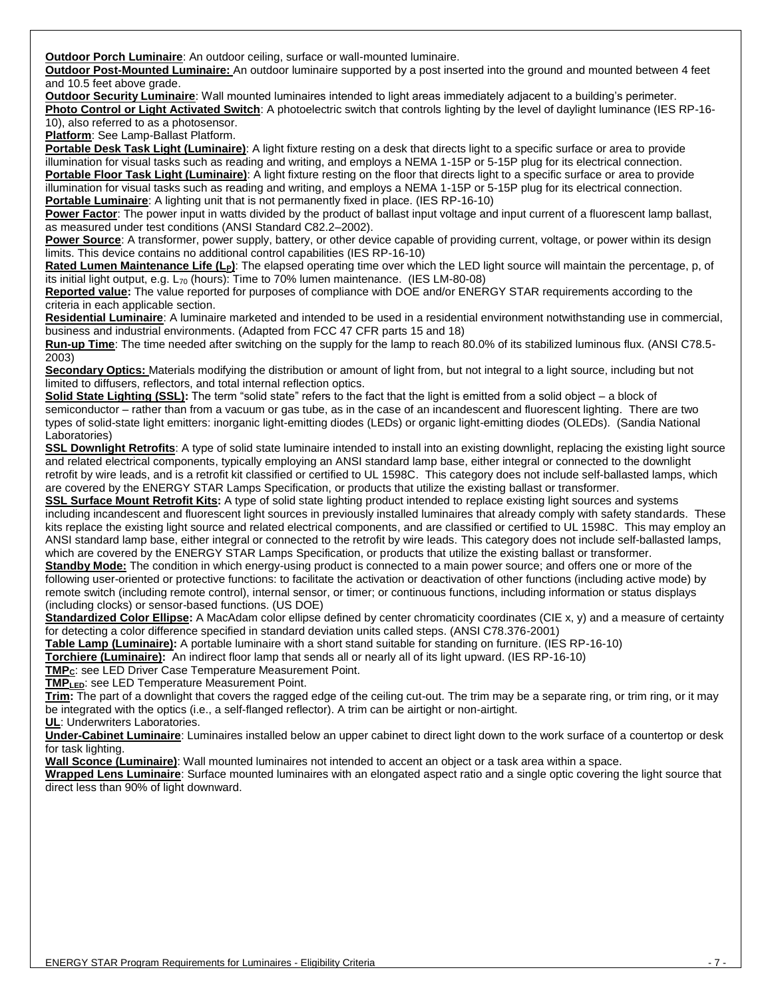**Outdoor Porch Luminaire**: An outdoor ceiling, surface or wall-mounted luminaire.

**Outdoor Post-Mounted Luminaire:** An outdoor luminaire supported by a post inserted into the ground and mounted between 4 feet and 10.5 feet above grade.

**Outdoor Security Luminaire**: Wall mounted luminaires intended to light areas immediately adjacent to a building's perimeter. **Photo Control or Light Activated Switch**: A photoelectric switch that controls lighting by the level of daylight luminance (IES RP-16-

10), also referred to as a photosensor.

**Platform**: See Lamp-Ballast Platform.

**Portable Desk Task Light (Luminaire)**: A light fixture resting on a desk that directs light to a specific surface or area to provide illumination for visual tasks such as reading and writing, and employs a NEMA 1-15P or 5-15P plug for its electrical connection. **Portable Floor Task Light (Luminaire)**: A light fixture resting on the floor that directs light to a specific surface or area to provide illumination for visual tasks such as reading and writing, and employs a NEMA 1-15P or 5-15P plug for its electrical connection. **Portable Luminaire**: A lighting unit that is not permanently fixed in place. (IES RP-16-10)

**Power Factor**: The power input in watts divided by the product of ballast input voltage and input current of a fluorescent lamp ballast, as measured under test conditions (ANSI Standard C82.2–2002).

**Power Source**: A transformer, power supply, battery, or other device capable of providing current, voltage, or power within its design limits. This device contains no additional control capabilities (IES RP-16-10)

**Rated Lumen Maintenance Life (LP)**: The elapsed operating time over which the LED light source will maintain the percentage, p, of its initial light output, e.g.  $L_{70}$  (hours): Time to 70% lumen maintenance. (IES LM-80-08)

**Reported value:** The value reported for purposes of compliance with DOE and/or ENERGY STAR requirements according to the criteria in each applicable section.

**Residential Luminaire**: A luminaire marketed and intended to be used in a residential environment notwithstanding use in commercial, business and industrial environments. (Adapted from FCC 47 CFR parts 15 and 18)

**Run-up Time**: The time needed after switching on the supply for the lamp to reach 80.0% of its stabilized luminous flux. (ANSI C78.5- 2003)

**Secondary Optics:** Materials modifying the distribution or amount of light from, but not integral to a light source, including but not limited to diffusers, reflectors, and total internal reflection optics.

**Solid State Lighting (SSL):** The term "solid state" refers to the fact that the light is emitted from a solid object – a block of semiconductor – rather than from a vacuum or gas tube, as in the case of an incandescent and fluorescent lighting. There are two types of solid-state light emitters: inorganic light-emitting diodes (LEDs) or organic light-emitting diodes (OLEDs). (Sandia National Laboratories)

**SSL Downlight Retrofits**: A type of solid state luminaire intended to install into an existing downlight, replacing the existing light source and related electrical components, typically employing an ANSI standard lamp base, either integral or connected to the downlight retrofit by wire leads, and is a retrofit kit classified or certified to UL 1598C. This category does not include self-ballasted lamps, which are covered by the ENERGY STAR Lamps Specification, or products that utilize the existing ballast or transformer.

**SSL Surface Mount Retrofit Kits:** A type of solid state lighting product intended to replace existing light sources and systems including incandescent and fluorescent light sources in previously installed luminaires that already comply with safety standards. These kits replace the existing light source and related electrical components, and are classified or certified to UL 1598C. This may employ an ANSI standard lamp base, either integral or connected to the retrofit by wire leads. This category does not include self-ballasted lamps, which are covered by the ENERGY STAR Lamps Specification, or products that utilize the existing ballast or transformer.

**Standby Mode:** The condition in which energy-using product is connected to a main power source; and offers one or more of the following user-oriented or protective functions: to facilitate the activation or deactivation of other functions (including active mode) by remote switch (including remote control), internal sensor, or timer; or continuous functions, including information or status displays (including clocks) or sensor-based functions. (US DOE)

Standardized Color Ellipse: A MacAdam color ellipse defined by center chromaticity coordinates (CIE x, y) and a measure of certainty for detecting a color difference specified in standard deviation units called steps. (ANSI C78.376-2001)

**Table Lamp (Luminaire):** A portable luminaire with a short stand suitable for standing on furniture. (IES RP-16-10)

**Torchiere (Luminaire):** An indirect floor lamp that sends all or nearly all of its light upward. (IES RP-16-10)

**TMPC**: see LED Driver Case Temperature Measurement Point.

**TMPLED**: see LED Temperature Measurement Point.

**Trim:** The part of a downlight that covers the ragged edge of the ceiling cut-out. The trim may be a separate ring, or trim ring, or it may be integrated with the optics (i.e., a self-flanged reflector). A trim can be airtight or non-airtight.

**UL**: Underwriters Laboratories.

**Under-Cabinet Luminaire**: Luminaires installed below an upper cabinet to direct light down to the work surface of a countertop or desk for task lighting.

**Wall Sconce (Luminaire)**: Wall mounted luminaires not intended to accent an object or a task area within a space.

**Wrapped Lens Luminaire**: Surface mounted luminaires with an elongated aspect ratio and a single optic covering the light source that direct less than 90% of light downward.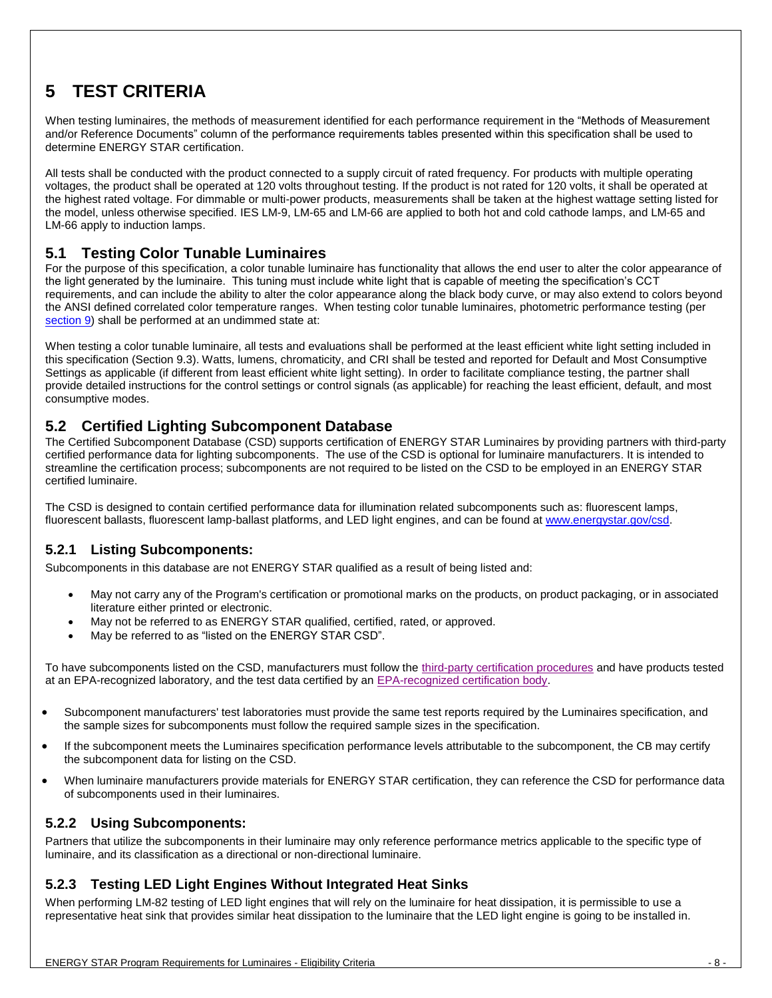# <span id="page-7-0"></span>**5 TEST CRITERIA**

When testing luminaires, the methods of measurement identified for each performance requirement in the "Methods of Measurement and/or Reference Documents" column of the performance requirements tables presented within this specification shall be used to determine ENERGY STAR certification.

All tests shall be conducted with the product connected to a supply circuit of rated frequency. For products with multiple operating voltages, the product shall be operated at 120 volts throughout testing. If the product is not rated for 120 volts, it shall be operated at the highest rated voltage. For dimmable or multi-power products, measurements shall be taken at the highest wattage setting listed for the model, unless otherwise specified. IES LM-9, LM-65 and LM-66 are applied to both hot and cold cathode lamps, and LM-65 and LM-66 apply to induction lamps.

#### <span id="page-7-1"></span>**5.1 Testing Color Tunable Luminaires**

For the purpose of this specification, a color tunable luminaire has functionality that allows the end user to alter the color appearance of the light generated by the luminaire. This tuning must include white light that is capable of meeting the specification's CCT requirements, and can include the ability to alter the color appearance along the black body curve, or may also extend to colors beyond the ANSI defined correlated color temperature ranges. When testing color tunable luminaires, photometric performance testing (per [section 9](#page-11-2)) shall be performed at an undimmed state at:

When testing a color tunable luminaire, all tests and evaluations shall be performed at the least efficient white light setting included in this specification (Section 9.3). Watts, lumens, chromaticity, and CRI shall be tested and reported for Default and Most Consumptive Settings as applicable (if different from least efficient white light setting). In order to facilitate compliance testing, the partner shall provide detailed instructions for the control settings or control signals (as applicable) for reaching the least efficient, default, and most consumptive modes.

#### <span id="page-7-2"></span>**5.2 Certified Lighting Subcomponent Database**

The Certified Subcomponent Database (CSD) supports certification of ENERGY STAR Luminaires by providing partners with third-party certified performance data for lighting subcomponents. The use of the CSD is optional for luminaire manufacturers. It is intended to streamline the certification process; subcomponents are not required to be listed on the CSD to be employed in an ENERGY STAR certified luminaire.

The CSD is designed to contain certified performance data for illumination related subcomponents such as: fluorescent lamps, fluorescent ballasts, fluorescent lamp-ballast platforms, and LED light engines, and can be found a[t www.energystar.gov/csd.](http://www.energystar.gov/csd)

#### <span id="page-7-3"></span>**5.2.1 Listing Subcomponents:**

Subcomponents in this database are not ENERGY STAR qualified as a result of being listed and:

- May not carry any of the Program's certification or promotional marks on the products, on product packaging, or in associated literature either printed or electronic.
- May not be referred to as ENERGY STAR qualified, certified, rated, or approved.
- May be referred to as "listed on the ENERGY STAR CSD".

To have subcomponents listed on the CSD, manufacturers must follow the [third-party certification procedures](http://www.energystar.gov/index.cfm?c=third_party_certification.tpc_index) and have products tested at an EPA-recognized laboratory, and the test data certified by an [EPA-recognized certification body.](http://www.energystar.gov/index.cfm?fuseaction=recognized_bodies_list.show_RCB_search_form)

- Subcomponent manufacturers' test laboratories must provide the same test reports required by the Luminaires specification, and the sample sizes for subcomponents must follow the required sample sizes in the specification.
- If the subcomponent meets the Luminaires specification performance levels attributable to the subcomponent, the CB may certify the subcomponent data for listing on the CSD.
- When luminaire manufacturers provide materials for ENERGY STAR certification, they can reference the CSD for performance data of subcomponents used in their luminaires.

#### <span id="page-7-4"></span>**5.2.2 Using Subcomponents:**

Partners that utilize the subcomponents in their luminaire may only reference performance metrics applicable to the specific type of luminaire, and its classification as a directional or non-directional luminaire.

#### <span id="page-7-5"></span>**5.2.3 Testing LED Light Engines Without Integrated Heat Sinks**

When performing LM-82 testing of LED light engines that will rely on the luminaire for heat dissipation, it is permissible to use a representative heat sink that provides similar heat dissipation to the luminaire that the LED light engine is going to be installed in.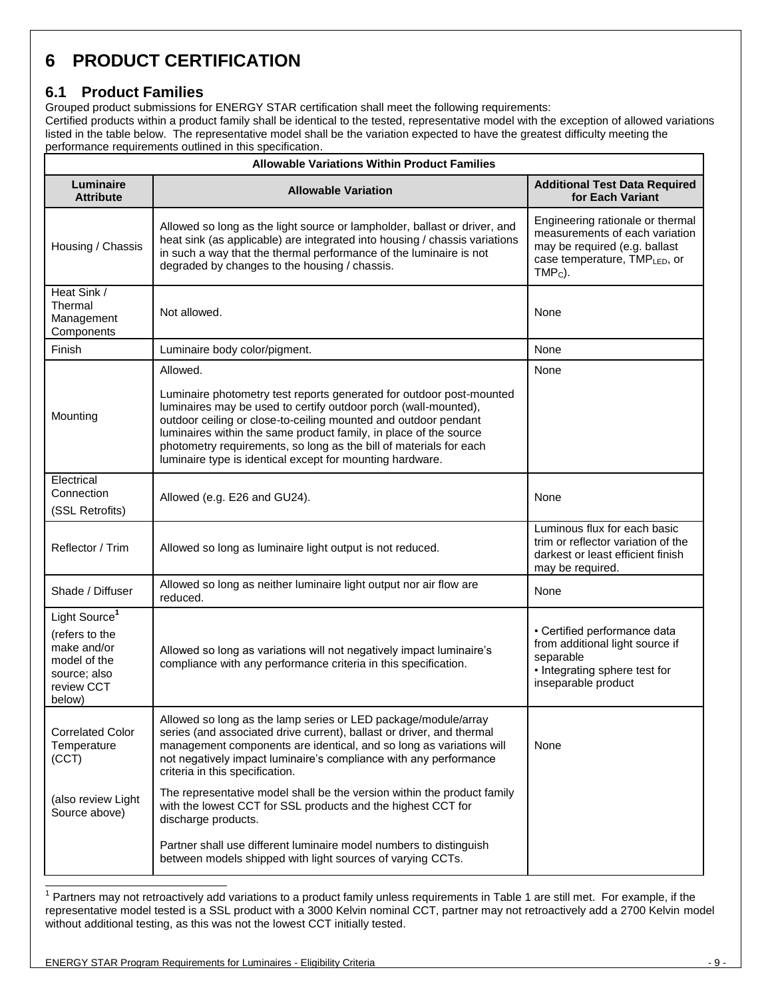# <span id="page-8-0"></span>**6 PRODUCT CERTIFICATION**

#### <span id="page-8-1"></span>**6.1 Product Families**

Grouped product submissions for ENERGY STAR certification shall meet the following requirements:

Certified products within a product family shall be identical to the tested, representative model with the exception of allowed variations listed in the table below. The representative model shall be the variation expected to have the greatest difficulty meeting the performance requirements outlined in this specification.

| <b>Allowable Variations Within Product Families</b>                                                                |                                                                                                                                                                                                                                                                                                                                                                                                                                |                                                                                                                                                  |  |
|--------------------------------------------------------------------------------------------------------------------|--------------------------------------------------------------------------------------------------------------------------------------------------------------------------------------------------------------------------------------------------------------------------------------------------------------------------------------------------------------------------------------------------------------------------------|--------------------------------------------------------------------------------------------------------------------------------------------------|--|
| Luminaire<br><b>Attribute</b>                                                                                      | <b>Allowable Variation</b>                                                                                                                                                                                                                                                                                                                                                                                                     | <b>Additional Test Data Required</b><br>for Each Variant                                                                                         |  |
| Housing / Chassis                                                                                                  | Allowed so long as the light source or lampholder, ballast or driver, and<br>heat sink (as applicable) are integrated into housing / chassis variations<br>in such a way that the thermal performance of the luminaire is not<br>degraded by changes to the housing / chassis.                                                                                                                                                 | Engineering rationale or thermal<br>measurements of each variation<br>may be required (e.g. ballast<br>case temperature, TMPLED, or<br>$TMPC$ ). |  |
| Heat Sink /<br>Thermal<br>Management<br>Components                                                                 | Not allowed.                                                                                                                                                                                                                                                                                                                                                                                                                   | None                                                                                                                                             |  |
| Finish                                                                                                             | Luminaire body color/pigment.                                                                                                                                                                                                                                                                                                                                                                                                  | None                                                                                                                                             |  |
| Mounting                                                                                                           | Allowed.<br>Luminaire photometry test reports generated for outdoor post-mounted<br>luminaires may be used to certify outdoor porch (wall-mounted),<br>outdoor ceiling or close-to-ceiling mounted and outdoor pendant<br>luminaires within the same product family, in place of the source<br>photometry requirements, so long as the bill of materials for each<br>luminaire type is identical except for mounting hardware. | None                                                                                                                                             |  |
| Electrical<br>Connection<br>(SSL Retrofits)                                                                        | Allowed (e.g. E26 and GU24).                                                                                                                                                                                                                                                                                                                                                                                                   | None                                                                                                                                             |  |
| Reflector / Trim                                                                                                   | Allowed so long as luminaire light output is not reduced.                                                                                                                                                                                                                                                                                                                                                                      | Luminous flux for each basic<br>trim or reflector variation of the<br>darkest or least efficient finish<br>may be required.                      |  |
| Shade / Diffuser                                                                                                   | Allowed so long as neither luminaire light output nor air flow are<br>reduced.                                                                                                                                                                                                                                                                                                                                                 | None                                                                                                                                             |  |
| Light Source <sup>1</sup><br>(refers to the<br>make and/or<br>model of the<br>source; also<br>review CCT<br>below) | Allowed so long as variations will not negatively impact luminaire's<br>compliance with any performance criteria in this specification.                                                                                                                                                                                                                                                                                        | • Certified performance data<br>from additional light source if<br>separable<br>• Integrating sphere test for<br>inseparable product             |  |
| <b>Correlated Color</b><br>Temperature<br>(CCT)                                                                    | Allowed so long as the lamp series or LED package/module/array<br>series (and associated drive current), ballast or driver, and thermal<br>management components are identical, and so long as variations will<br>not negatively impact luminaire's compliance with any performance<br>criteria in this specification.                                                                                                         | None                                                                                                                                             |  |
| (also review Light<br>Source above)                                                                                | The representative model shall be the version within the product family<br>with the lowest CCT for SSL products and the highest CCT for<br>discharge products.                                                                                                                                                                                                                                                                 |                                                                                                                                                  |  |
|                                                                                                                    | Partner shall use different luminaire model numbers to distinguish<br>between models shipped with light sources of varying CCTs.                                                                                                                                                                                                                                                                                               |                                                                                                                                                  |  |

 1 Partners may not retroactively add variations to a product family unless requirements in Table 1 are still met. For example, if the representative model tested is a SSL product with a 3000 Kelvin nominal CCT, partner may not retroactively add a 2700 Kelvin model without additional testing, as this was not the lowest CCT initially tested.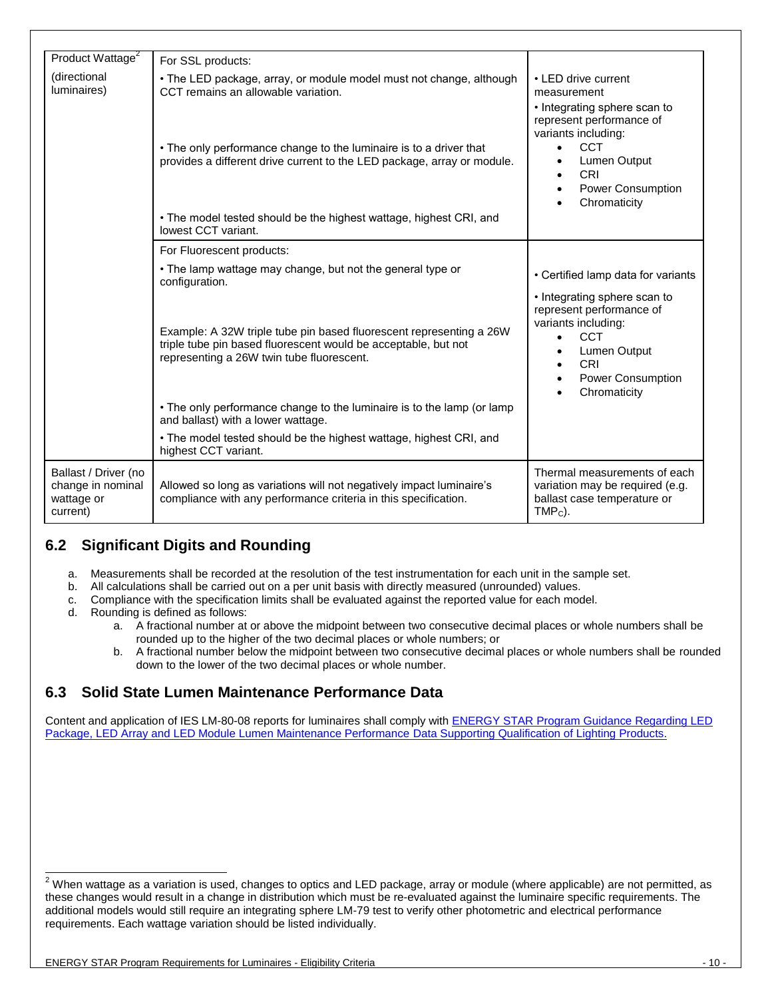| Product Wattage <sup>2</sup>                                        | For SSL products:                                                                                                                                                                                                                                           |                                                                                                                                                                                                   |
|---------------------------------------------------------------------|-------------------------------------------------------------------------------------------------------------------------------------------------------------------------------------------------------------------------------------------------------------|---------------------------------------------------------------------------------------------------------------------------------------------------------------------------------------------------|
| (directional<br>luminaires)                                         | • The LED package, array, or module model must not change, although<br>CCT remains an allowable variation.<br>• The only performance change to the luminaire is to a driver that<br>provides a different drive current to the LED package, array or module. | • LED drive current<br>measurement<br>• Integrating sphere scan to<br>represent performance of<br>variants including:<br><b>CCT</b><br>$\bullet$<br>Lumen Output<br>$\bullet$                     |
|                                                                     | • The model tested should be the highest wattage, highest CRI, and<br>lowest CCT variant.                                                                                                                                                                   | CRI<br>$\bullet$<br>Power Consumption<br>Chromaticity                                                                                                                                             |
|                                                                     | For Fluorescent products:                                                                                                                                                                                                                                   |                                                                                                                                                                                                   |
|                                                                     | • The lamp wattage may change, but not the general type or<br>configuration.                                                                                                                                                                                | • Certified lamp data for variants                                                                                                                                                                |
|                                                                     | Example: A 32W triple tube pin based fluorescent representing a 26W<br>triple tube pin based fluorescent would be acceptable, but not<br>representing a 26W twin tube fluorescent.                                                                          | • Integrating sphere scan to<br>represent performance of<br>variants including:<br><b>CCT</b><br>$\bullet$<br>Lumen Output<br><b>CRI</b><br>$\bullet$<br><b>Power Consumption</b><br>Chromaticity |
|                                                                     | • The only performance change to the luminaire is to the lamp (or lamp<br>and ballast) with a lower wattage.                                                                                                                                                |                                                                                                                                                                                                   |
|                                                                     | • The model tested should be the highest wattage, highest CRI, and<br>highest CCT variant.                                                                                                                                                                  |                                                                                                                                                                                                   |
| Ballast / Driver (no<br>change in nominal<br>wattage or<br>current) | Allowed so long as variations will not negatively impact luminaire's<br>compliance with any performance criteria in this specification.                                                                                                                     | Thermal measurements of each<br>variation may be required (e.g.<br>ballast case temperature or<br>$TMPC$ ).                                                                                       |

### <span id="page-9-0"></span>**6.2 Significant Digits and Rounding**

- a. Measurements shall be recorded at the resolution of the test instrumentation for each unit in the sample set.
- b. All calculations shall be carried out on a per unit basis with directly measured (unrounded) values.
- c. Compliance with the specification limits shall be evaluated against the reported value for each model.
- d. Rounding is defined as follows:

l

- a. A fractional number at or above the midpoint between two consecutive decimal places or whole numbers shall be rounded up to the higher of the two decimal places or whole numbers; or
- b. A fractional number below the midpoint between two consecutive decimal places or whole numbers shall be rounded down to the lower of the two decimal places or whole number.

#### <span id="page-9-1"></span>**6.3 Solid State Lumen Maintenance Performance Data**

Content and application of IES LM-80-08 reports for luminaires shall comply with **ENERGY STAR Program Guidance Regarding LED** [Package, LED Array and LED Module Lumen Maintenance Performance Data Supporting Qualification of Lighting Products.](http://www.energystar.gov/ia/partners/prod_development/new_specs/downloads/luminaires/ENERGY_STAR_Final_Lumen_Maintenance_Guidance.pdf)

 $^2$  When wattage as a variation is used, changes to optics and LED package, array or module (where applicable) are not permitted, as these changes would result in a change in distribution which must be re-evaluated against the luminaire specific requirements. The additional models would still require an integrating sphere LM-79 test to verify other photometric and electrical performance requirements. Each wattage variation should be listed individually.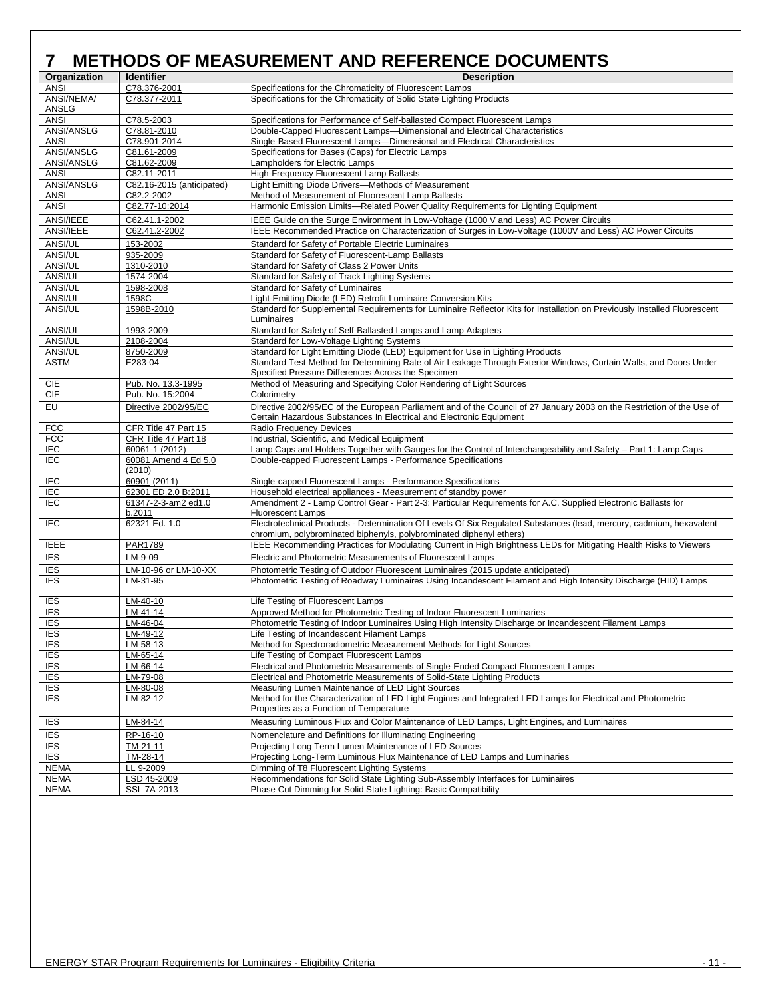<span id="page-10-0"></span>

| Organization      | <b>Identifier</b>                      | <b>Description</b>                                                                                                                                                                         |
|-------------------|----------------------------------------|--------------------------------------------------------------------------------------------------------------------------------------------------------------------------------------------|
| <b>ANSI</b>       | C78.376-2001                           | Specifications for the Chromaticity of Fluorescent Lamps                                                                                                                                   |
| ANSI/NEMA/        | C78.377-2011                           | Specifications for the Chromaticity of Solid State Lighting Products                                                                                                                       |
| ANSLG             |                                        |                                                                                                                                                                                            |
| <b>ANSI</b>       | C78.5-2003                             | Specifications for Performance of Self-ballasted Compact Fluorescent Lamps                                                                                                                 |
| ANSI/ANSLG        | C78.81-2010                            | Double-Capped Fluorescent Lamps-Dimensional and Electrical Characteristics                                                                                                                 |
| <b>ANSI</b>       | C78.901-2014                           | Single-Based Fluorescent Lamps-Dimensional and Electrical Characteristics                                                                                                                  |
| ANSI/ANSLG        | C81.61-2009                            | Specifications for Bases (Caps) for Electric Lamps                                                                                                                                         |
| ANSI/ANSLG        | C81.62-2009                            | Lampholders for Electric Lamps                                                                                                                                                             |
| <b>ANSI</b>       | C82.11-2011                            | High-Frequency Fluorescent Lamp Ballasts                                                                                                                                                   |
| <b>ANSI/ANSLG</b> | C82.16-2015 (anticipated)              | Light Emitting Diode Drivers-Methods of Measurement                                                                                                                                        |
| <b>ANSI</b>       | C82.2-2002                             | Method of Measurement of Fluorescent Lamp Ballasts                                                                                                                                         |
| <b>ANSI</b>       | C82.77-10:2014                         | Harmonic Emission Limits-Related Power Quality Requirements for Lighting Equipment                                                                                                         |
| ANSI/IEEE         | C62.41.1-2002                          | IEEE Guide on the Surge Environment in Low-Voltage (1000 V and Less) AC Power Circuits                                                                                                     |
| ANSI/IEEE         | C62.41.2-2002                          | IEEE Recommended Practice on Characterization of Surges in Low-Voltage (1000V and Less) AC Power Circuits                                                                                  |
| <b>ANSI/UL</b>    | 153-2002                               | Standard for Safety of Portable Electric Luminaires                                                                                                                                        |
| ANSI/UL           | 935-2009                               | Standard for Safety of Fluorescent-Lamp Ballasts                                                                                                                                           |
| ANSI/UL           | 1310-2010                              | Standard for Safety of Class 2 Power Units                                                                                                                                                 |
| ANSI/UL           | 1574-2004                              | Standard for Safety of Track Lighting Systems                                                                                                                                              |
| ANSI/UL           | 1598-2008                              | Standard for Safety of Luminaires                                                                                                                                                          |
| ANSI/UL           | 1598C                                  | Light-Emitting Diode (LED) Retrofit Luminaire Conversion Kits                                                                                                                              |
| ANSI/UL           | 1598B-2010                             | Standard for Supplemental Requirements for Luminaire Reflector Kits for Installation on Previously Installed Fluorescent                                                                   |
|                   |                                        | Luminaires                                                                                                                                                                                 |
| ANSI/UL           | 1993-2009                              | Standard for Safety of Self-Ballasted Lamps and Lamp Adapters                                                                                                                              |
| <b>ANSI/UL</b>    | 2108-2004                              | Standard for Low-Voltage Lighting Systems                                                                                                                                                  |
| ANSI/UL           | 8750-2009                              | Standard for Light Emitting Diode (LED) Equipment for Use in Lighting Products                                                                                                             |
| <b>ASTM</b>       | E283-04                                | Standard Test Method for Determining Rate of Air Leakage Through Exterior Windows, Curtain Walls, and Doors Under<br>Specified Pressure Differences Across the Specimen                    |
| CIE               | Pub. No. 13.3-1995                     | Method of Measuring and Specifying Color Rendering of Light Sources                                                                                                                        |
| <b>CIE</b>        | Pub. No. 15:2004                       | Colorimetry                                                                                                                                                                                |
| EU                | Directive 2002/95/EC                   | Directive 2002/95/EC of the European Parliament and of the Council of 27 January 2003 on the Restriction of the Use of                                                                     |
|                   |                                        | Certain Hazardous Substances In Electrical and Electronic Equipment                                                                                                                        |
| <b>FCC</b>        | CFR Title 47 Part 15                   | Radio Frequency Devices                                                                                                                                                                    |
| <b>FCC</b>        | CFR Title 47 Part 18                   | Industrial, Scientific, and Medical Equipment                                                                                                                                              |
| IEC<br><b>IEC</b> | 60061-1 (2012)<br>60081 Amend 4 Ed 5.0 | Lamp Caps and Holders Together with Gauges for the Control of Interchangeability and Safety - Part 1: Lamp Caps<br>Double-capped Fluorescent Lamps - Performance Specifications            |
|                   | (2010)                                 |                                                                                                                                                                                            |
| IEC               | 60901 (2011)                           | Single-capped Fluorescent Lamps - Performance Specifications                                                                                                                               |
| IEC               | 62301 ED.2.0 B:2011                    | Household electrical appliances - Measurement of standby power                                                                                                                             |
| <b>IEC</b>        | 61347-2-3-am2 ed1.0<br>b.2011          | Amendment 2 - Lamp Control Gear - Part 2-3: Particular Requirements for A.C. Supplied Electronic Ballasts for<br><b>Fluorescent Lamps</b>                                                  |
| <b>IEC</b>        | 62321 Ed. 1.0                          | Electrotechnical Products - Determination Of Levels Of Six Regulated Substances (lead, mercury, cadmium, hexavalent<br>chromium, polybrominated biphenyls, polybrominated diphenyl ethers) |
| <b>IEEE</b>       | PAR1789                                | IEEE Recommending Practices for Modulating Current in High Brightness LEDs for Mitigating Health Risks to Viewers                                                                          |
| <b>IES</b>        | LM-9-09                                | Electric and Photometric Measurements of Fluorescent Lamps                                                                                                                                 |
| <b>IES</b>        | LM-10-96 or LM-10-XX                   | Photometric Testing of Outdoor Fluorescent Luminaires (2015 update anticipated)                                                                                                            |
| <b>IES</b>        | LM-31-95                               | Photometric Testing of Roadway Luminaires Using Incandescent Filament and High Intensity Discharge (HID) Lamps                                                                             |
| <b>IES</b>        | LM-40-10                               | Life Testing of Fluorescent Lamps                                                                                                                                                          |
| <u>IES</u>        | <u>LM-41-14</u>                        | Approved Method for Photometric Testing of Indoor Fluorescent Luminaries                                                                                                                   |
| <b>IES</b>        | LM-46-04                               | Photometric Testing of Indoor Luminaires Using High Intensity Discharge or Incandescent Filament Lamps                                                                                     |
| <b>IES</b>        | LM-49-12                               | Life Testing of Incandescent Filament Lamps                                                                                                                                                |
| <b>IES</b>        | LM-58-13                               | Method for Spectroradiometric Measurement Methods for Light Sources                                                                                                                        |
| <b>IES</b>        | $LM-65-14$                             | Life Testing of Compact Fluorescent Lamps                                                                                                                                                  |
| <b>IES</b>        | $LM-66-14$                             | Electrical and Photometric Measurements of Single-Ended Compact Fluorescent Lamps                                                                                                          |
| <b>IES</b>        | LM-79-08                               | Electrical and Photometric Measurements of Solid-State Lighting Products                                                                                                                   |
| $\overline{ES}$   | LM-80-08                               | Measuring Lumen Maintenance of LED Light Sources                                                                                                                                           |
| <b>IES</b>        | LM-82-12                               | Method for the Characterization of LED Light Engines and Integrated LED Lamps for Electrical and Photometric<br>Properties as a Function of Temperature                                    |
| <b>IES</b>        | LM-84-14                               | Measuring Luminous Flux and Color Maintenance of LED Lamps, Light Engines, and Luminaires                                                                                                  |
| <b>IES</b>        | RP-16-10                               | Nomenclature and Definitions for Illuminating Engineering                                                                                                                                  |
| <b>IES</b>        | $\overline{TM}$ -21-11                 | Projecting Long Term Lumen Maintenance of LED Sources                                                                                                                                      |
| E                 | TM-28-14                               | Projecting Long-Term Luminous Flux Maintenance of LED Lamps and Luminaries                                                                                                                 |
| <b>NEMA</b>       | LL 9-2009                              | Dimming of T8 Fluorescent Lighting Systems                                                                                                                                                 |
| <b>NEMA</b>       | LSD 45-2009                            | Recommendations for Solid State Lighting Sub-Assembly Interfaces for Luminaires                                                                                                            |
|                   |                                        |                                                                                                                                                                                            |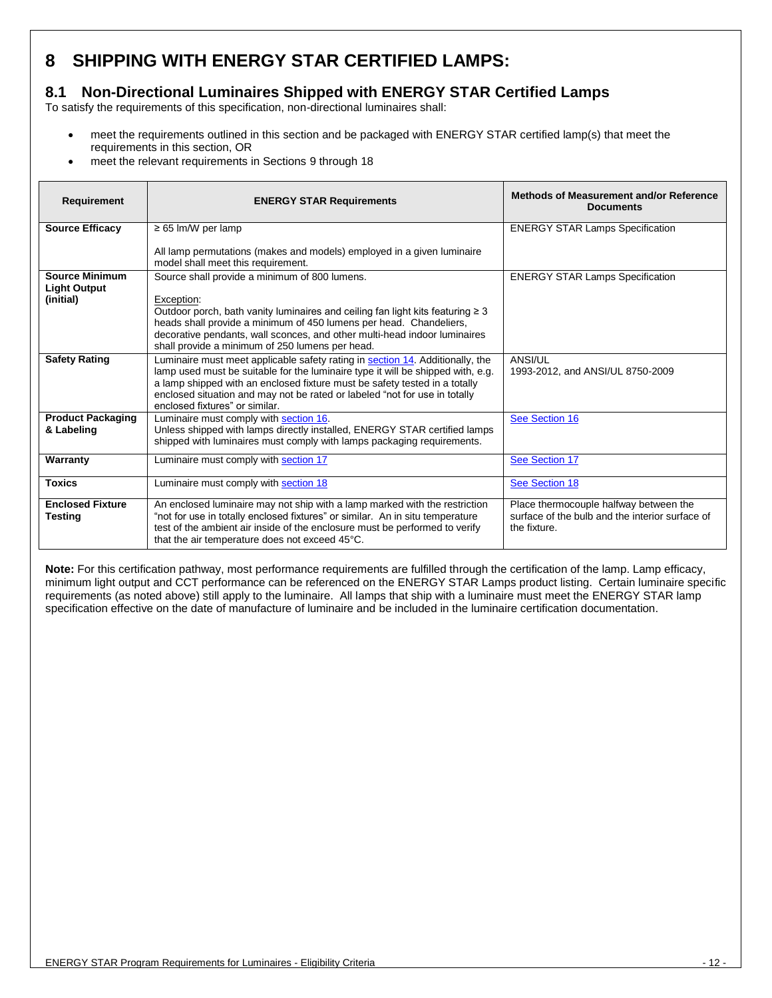### <span id="page-11-0"></span>**8 SHIPPING WITH ENERGY STAR CERTIFIED LAMPS:**

### <span id="page-11-1"></span>**8.1 Non-Directional Luminaires Shipped with ENERGY STAR Certified Lamps**

To satisfy the requirements of this specification, non-directional luminaires shall:

- meet the requirements outlined in this section and be packaged with ENERGY STAR certified lamp(s) that meet the requirements in this section, OR
- meet the relevant requirements in Sections 9 through 18

| Requirement                                               | <b>ENERGY STAR Requirements</b>                                                                                                                                                                                                                                                                                                                                | Methods of Measurement and/or Reference<br><b>Documents</b>                                               |
|-----------------------------------------------------------|----------------------------------------------------------------------------------------------------------------------------------------------------------------------------------------------------------------------------------------------------------------------------------------------------------------------------------------------------------------|-----------------------------------------------------------------------------------------------------------|
| <b>Source Efficacy</b>                                    | $\geq$ 65 lm/W per lamp                                                                                                                                                                                                                                                                                                                                        | <b>ENERGY STAR Lamps Specification</b>                                                                    |
|                                                           | All lamp permutations (makes and models) employed in a given luminaire<br>model shall meet this requirement.                                                                                                                                                                                                                                                   |                                                                                                           |
| <b>Source Minimum</b><br><b>Light Output</b><br>(initial) | Source shall provide a minimum of 800 lumens.<br>Exception:<br>Outdoor porch, bath vanity luminaires and ceiling fan light kits featuring $\geq 3$<br>heads shall provide a minimum of 450 lumens per head. Chandeliers,<br>decorative pendants, wall sconces, and other multi-head indoor luminaires<br>shall provide a minimum of 250 lumens per head.       | <b>ENERGY STAR Lamps Specification</b>                                                                    |
| <b>Safety Rating</b>                                      | Luminaire must meet applicable safety rating in section 14. Additionally, the<br>lamp used must be suitable for the luminaire type it will be shipped with, e.g.<br>a lamp shipped with an enclosed fixture must be safety tested in a totally<br>enclosed situation and may not be rated or labeled "not for use in totally<br>enclosed fixtures" or similar. | ANSI/UL<br>1993-2012, and ANSI/UL 8750-2009                                                               |
| <b>Product Packaging</b><br>& Labeling                    | Luminaire must comply with section 16.<br>Unless shipped with lamps directly installed, ENERGY STAR certified lamps<br>shipped with luminaires must comply with lamps packaging requirements.                                                                                                                                                                  | See Section 16                                                                                            |
| Warranty                                                  | Luminaire must comply with section 17                                                                                                                                                                                                                                                                                                                          | See Section 17                                                                                            |
| <b>Toxics</b>                                             | Luminaire must comply with section 18                                                                                                                                                                                                                                                                                                                          | See Section 18                                                                                            |
| <b>Enclosed Fixture</b><br><b>Testing</b>                 | An enclosed luminaire may not ship with a lamp marked with the restriction<br>"not for use in totally enclosed fixtures" or similar. An in situ temperature<br>test of the ambient air inside of the enclosure must be performed to verify<br>that the air temperature does not exceed 45°C.                                                                   | Place thermocouple halfway between the<br>surface of the bulb and the interior surface of<br>the fixture. |

<span id="page-11-2"></span>**Note:** For this certification pathway, most performance requirements are fulfilled through the certification of the lamp. Lamp efficacy, minimum light output and CCT performance can be referenced on the ENERGY STAR Lamps product listing. Certain luminaire specific requirements (as noted above) still apply to the luminaire. All lamps that ship with a luminaire must meet the ENERGY STAR lamp specification effective on the date of manufacture of luminaire and be included in the luminaire certification documentation.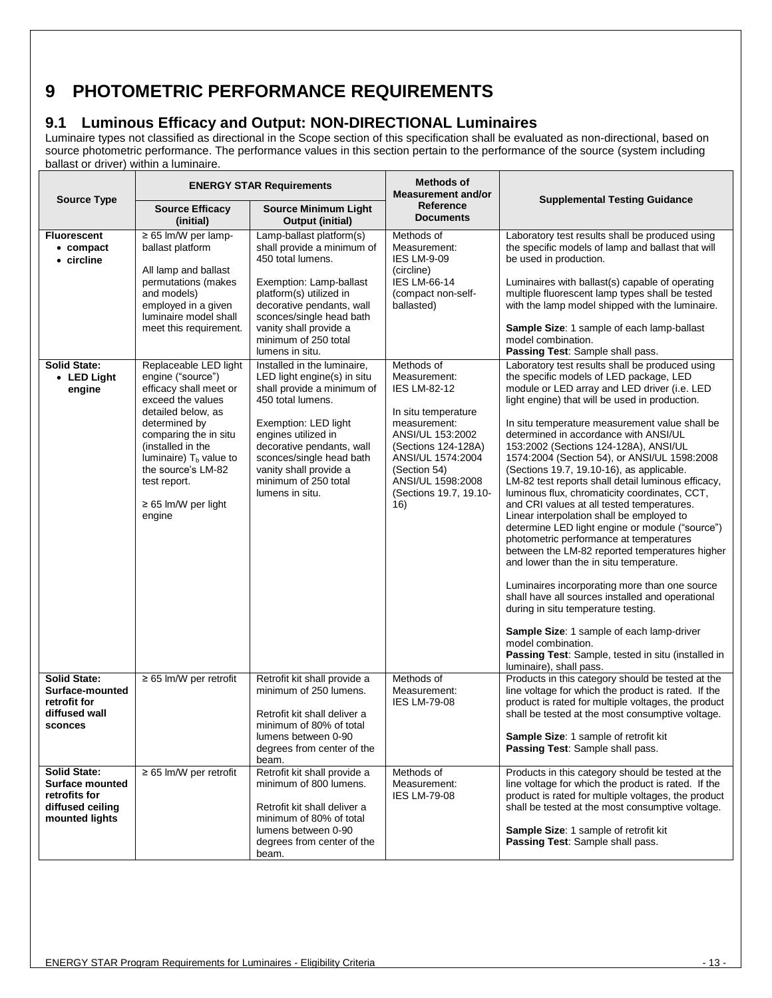### <span id="page-12-0"></span>**9 PHOTOMETRIC PERFORMANCE REQUIREMENTS**

#### <span id="page-12-1"></span>**9.1 Luminous Efficacy and Output: NON-DIRECTIONAL Luminaires**

Luminaire types not classified as directional in the Scope section of this specification shall be evaluated as non-directional, based on source photometric performance. The performance values in this section pertain to the performance of the source (system including ballast or driver) within a luminaire.

|                                                                                                      |                                                                                                                                                                                                                                                                                         | <b>ENERGY STAR Requirements</b>                                                                                                                                                                                                                                                            | <b>Methods of</b><br><b>Measurement and/or</b>                                                                                                                                                                                 |                                                                                                                                                                                                                                                                                                                                                                                                                                                                                                                                                                                                                                                                                                                                                                                                                                                                                                                                                                                                                                                                                                                            |  |
|------------------------------------------------------------------------------------------------------|-----------------------------------------------------------------------------------------------------------------------------------------------------------------------------------------------------------------------------------------------------------------------------------------|--------------------------------------------------------------------------------------------------------------------------------------------------------------------------------------------------------------------------------------------------------------------------------------------|--------------------------------------------------------------------------------------------------------------------------------------------------------------------------------------------------------------------------------|----------------------------------------------------------------------------------------------------------------------------------------------------------------------------------------------------------------------------------------------------------------------------------------------------------------------------------------------------------------------------------------------------------------------------------------------------------------------------------------------------------------------------------------------------------------------------------------------------------------------------------------------------------------------------------------------------------------------------------------------------------------------------------------------------------------------------------------------------------------------------------------------------------------------------------------------------------------------------------------------------------------------------------------------------------------------------------------------------------------------------|--|
| <b>Source Type</b>                                                                                   | <b>Source Efficacy</b><br>(initial)                                                                                                                                                                                                                                                     | <b>Source Minimum Light</b><br>Output (initial)                                                                                                                                                                                                                                            | <b>Reference</b><br><b>Documents</b>                                                                                                                                                                                           | <b>Supplemental Testing Guidance</b>                                                                                                                                                                                                                                                                                                                                                                                                                                                                                                                                                                                                                                                                                                                                                                                                                                                                                                                                                                                                                                                                                       |  |
| <b>Fluorescent</b><br>• compact<br>• circline                                                        | $\geq 65$ lm/W per lamp-<br>ballast platform<br>All lamp and ballast<br>permutations (makes<br>and models)<br>employed in a given<br>luminaire model shall<br>meet this requirement.                                                                                                    | Lamp-ballast platform(s)<br>shall provide a minimum of<br>450 total lumens.<br>Exemption: Lamp-ballast<br>platform(s) utilized in<br>decorative pendants, wall<br>sconces/single head bath<br>vanity shall provide a<br>minimum of 250 total<br>lumens in situ.                            | Methods of<br>Measurement:<br>IES LM-9-09<br>(circline)<br><b>IES LM-66-14</b><br>(compact non-self-<br>ballasted)                                                                                                             | Laboratory test results shall be produced using<br>the specific models of lamp and ballast that will<br>be used in production.<br>Luminaires with ballast(s) capable of operating<br>multiple fluorescent lamp types shall be tested<br>with the lamp model shipped with the luminaire.<br>Sample Size: 1 sample of each lamp-ballast<br>model combination.<br>Passing Test: Sample shall pass.                                                                                                                                                                                                                                                                                                                                                                                                                                                                                                                                                                                                                                                                                                                            |  |
| <b>Solid State:</b><br>• LED Light<br>engine                                                         | Replaceable LED light<br>engine ("source")<br>efficacy shall meet or<br>exceed the values<br>detailed below, as<br>determined by<br>comparing the in situ<br>(installed in the<br>luminaire) $T_b$ value to<br>the source's LM-82<br>test report.<br>$\geq$ 65 lm/W per light<br>engine | Installed in the luminaire,<br>LED light engine(s) in situ<br>shall provide a minimum of<br>450 total lumens.<br>Exemption: LED light<br>engines utilized in<br>decorative pendants, wall<br>sconces/single head bath<br>vanity shall provide a<br>minimum of 250 total<br>lumens in situ. | Methods of<br>Measurement:<br><b>IES LM-82-12</b><br>In situ temperature<br>measurement:<br>ANSI/UL 153:2002<br>(Sections 124-128A)<br>ANSI/UL 1574:2004<br>(Section 54)<br>ANSI/UL 1598:2008<br>(Sections 19.7, 19.10-<br>16) | Laboratory test results shall be produced using<br>the specific models of LED package, LED<br>module or LED array and LED driver (i.e. LED<br>light engine) that will be used in production.<br>In situ temperature measurement value shall be<br>determined in accordance with ANSI/UL<br>153:2002 (Sections 124-128A), ANSI/UL<br>1574:2004 (Section 54), or ANSI/UL 1598:2008<br>(Sections 19.7, 19.10-16), as applicable.<br>LM-82 test reports shall detail luminous efficacy,<br>luminous flux, chromaticity coordinates, CCT,<br>and CRI values at all tested temperatures.<br>Linear interpolation shall be employed to<br>determine LED light engine or module ("source")<br>photometric performance at temperatures<br>between the LM-82 reported temperatures higher<br>and lower than the in situ temperature.<br>Luminaires incorporating more than one source<br>shall have all sources installed and operational<br>during in situ temperature testing.<br>Sample Size: 1 sample of each lamp-driver<br>model combination.<br>Passing Test: Sample, tested in situ (installed in<br>luminaire), shall pass. |  |
| <b>Solid State:</b><br>Surface-mounted<br>retrofit for<br>diffused wall<br>sconces                   | $\geq 65$ lm/W per retrofit                                                                                                                                                                                                                                                             | Retrofit kit shall provide a<br>minimum of 250 lumens.<br>Retrofit kit shall deliver a<br>minimum of 80% of total<br>lumens between 0-90<br>degrees from center of the<br>beam.                                                                                                            | Methods of<br>Measurement:<br><b>IES LM-79-08</b>                                                                                                                                                                              | Products in this category should be tested at the<br>line voltage for which the product is rated. If the<br>product is rated for multiple voltages, the product<br>shall be tested at the most consumptive voltage.<br><b>Sample Size:</b> 1 sample of retrofit kit<br>Passing Test: Sample shall pass.                                                                                                                                                                                                                                                                                                                                                                                                                                                                                                                                                                                                                                                                                                                                                                                                                    |  |
| <b>Solid State:</b><br><b>Surface mounted</b><br>retrofits for<br>diffused ceiling<br>mounted lights | $\geq 65$ lm/W per retrofit                                                                                                                                                                                                                                                             | Retrofit kit shall provide a<br>minimum of 800 lumens.<br>Retrofit kit shall deliver a<br>minimum of 80% of total<br>lumens between 0-90<br>degrees from center of the<br>beam.                                                                                                            | Methods of<br>Measurement:<br><b>IES LM-79-08</b>                                                                                                                                                                              | Products in this category should be tested at the<br>line voltage for which the product is rated. If the<br>product is rated for multiple voltages, the product<br>shall be tested at the most consumptive voltage.<br>Sample Size: 1 sample of retrofit kit<br>Passing Test: Sample shall pass.                                                                                                                                                                                                                                                                                                                                                                                                                                                                                                                                                                                                                                                                                                                                                                                                                           |  |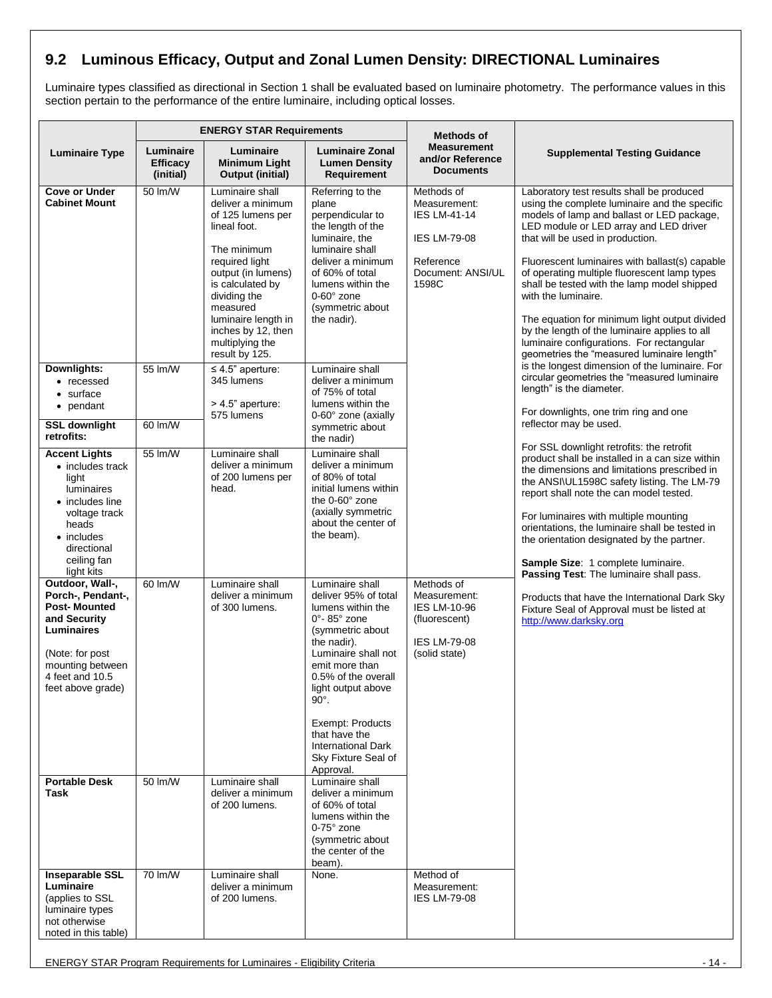### <span id="page-13-0"></span>**9.2 Luminous Efficacy, Output and Zonal Lumen Density: DIRECTIONAL Luminaires**

Luminaire types classified as directional in Section 1 shall be evaluated based on luminaire photometry. The performance values in this section pertain to the performance of the entire luminaire, including optical losses.

|                                                                                                                                                                                | <b>ENERGY STAR Requirements</b>           |                                                                                                                                                                                                                                                                    | <b>Methods of</b>                                                                                                                                                                                                                                                                                                                           |                                                                                                                     |                                                                                                                                                                                                                                                                                                                                                                                                                                                                                                                                                                                                                                               |
|--------------------------------------------------------------------------------------------------------------------------------------------------------------------------------|-------------------------------------------|--------------------------------------------------------------------------------------------------------------------------------------------------------------------------------------------------------------------------------------------------------------------|---------------------------------------------------------------------------------------------------------------------------------------------------------------------------------------------------------------------------------------------------------------------------------------------------------------------------------------------|---------------------------------------------------------------------------------------------------------------------|-----------------------------------------------------------------------------------------------------------------------------------------------------------------------------------------------------------------------------------------------------------------------------------------------------------------------------------------------------------------------------------------------------------------------------------------------------------------------------------------------------------------------------------------------------------------------------------------------------------------------------------------------|
| <b>Luminaire Type</b>                                                                                                                                                          | Luminaire<br><b>Efficacy</b><br>(initial) | Luminaire<br><b>Minimum Light</b><br><b>Output (initial)</b>                                                                                                                                                                                                       | <b>Luminaire Zonal</b><br><b>Lumen Density</b><br>Requirement                                                                                                                                                                                                                                                                               | <b>Measurement</b><br>and/or Reference<br><b>Documents</b>                                                          | <b>Supplemental Testing Guidance</b>                                                                                                                                                                                                                                                                                                                                                                                                                                                                                                                                                                                                          |
| <b>Cove or Under</b><br><b>Cabinet Mount</b>                                                                                                                                   | 50 lm/W                                   | Luminaire shall<br>deliver a minimum<br>of 125 lumens per<br>lineal foot.<br>The minimum<br>required light<br>output (in lumens)<br>is calculated by<br>dividing the<br>measured<br>luminaire length in<br>inches by 12, then<br>multiplying the<br>result by 125. | Referring to the<br>plane<br>perpendicular to<br>the length of the<br>luminaire, the<br>luminaire shall<br>deliver a minimum<br>of 60% of total<br>lumens within the<br>$0-60^\circ$ zone<br>(symmetric about<br>the nadir).                                                                                                                | Methods of<br>Measurement:<br><b>IES LM-41-14</b><br><b>IES LM-79-08</b><br>Reference<br>Document: ANSI/UL<br>1598C | Laboratory test results shall be produced<br>using the complete luminaire and the specific<br>models of lamp and ballast or LED package,<br>LED module or LED array and LED driver<br>that will be used in production.<br>Fluorescent luminaires with ballast(s) capable<br>of operating multiple fluorescent lamp types<br>shall be tested with the lamp model shipped<br>with the luminaire.<br>The equation for minimum light output divided<br>by the length of the luminaire applies to all<br>luminaire configurations. For rectangular<br>geometries the "measured luminaire length"<br>is the longest dimension of the luminaire. For |
| Downlights:<br>• recessed<br>$\bullet$ surface<br>• pendant<br><b>SSL downlight</b><br>retrofits:                                                                              | 55 lm/W<br>60 lm/W                        | $\leq 4.5$ " aperture:<br>345 lumens<br>> 4.5" aperture:<br>575 lumens                                                                                                                                                                                             | Luminaire shall<br>deliver a minimum<br>of 75% of total<br>lumens within the<br>0-60° zone (axially<br>symmetric about                                                                                                                                                                                                                      |                                                                                                                     | circular geometries the "measured luminaire<br>length" is the diameter.<br>For downlights, one trim ring and one<br>reflector may be used.                                                                                                                                                                                                                                                                                                                                                                                                                                                                                                    |
| <b>Accent Lights</b><br>• includes track<br>light<br>luminaires<br>• includes line<br>voltage track<br>heads<br>$\bullet$ includes<br>directional<br>ceiling fan<br>light kits | 55 lm/W                                   | Luminaire shall<br>deliver a minimum<br>of 200 lumens per<br>head.                                                                                                                                                                                                 | the nadir)<br>Luminaire shall<br>deliver a minimum<br>of 80% of total<br>initial lumens within<br>the 0-60° zone<br>(axially symmetric<br>about the center of<br>the beam).                                                                                                                                                                 |                                                                                                                     | For SSL downlight retrofits: the retrofit<br>product shall be installed in a can size within<br>the dimensions and limitations prescribed in<br>the ANSI\UL1598C safety listing. The LM-79<br>report shall note the can model tested.<br>For luminaires with multiple mounting<br>orientations, the luminaire shall be tested in<br>the orientation designated by the partner.<br>Sample Size: 1 complete luminaire.<br>Passing Test: The luminaire shall pass.                                                                                                                                                                               |
| Outdoor, Wall-,<br>Porch-, Pendant-,<br><b>Post-Mounted</b><br>and Security<br>Luminaires<br>(Note: for post<br>mounting between<br>4 feet and 10.5<br>feet above grade)       | 60 lm/W                                   | Luminaire shall<br>deliver a minimum<br>of 300 lumens.                                                                                                                                                                                                             | Luminaire shall<br>deliver 95% of total<br>lumens within the<br>$0^\circ$ - 85 $^\circ$ zone<br>(symmetric about<br>the nadir).<br>Luminaire shall not<br>emit more than<br>0.5% of the overall<br>light output above<br>$90^\circ$ .<br>Exempt: Products<br>that have the<br><b>International Dark</b><br>Sky Fixture Seal of<br>Approval. | Methods of<br>Measurement:<br><b>IES LM-10-96</b><br>(fluorescent)<br><b>IES LM-79-08</b><br>(solid state)          | Products that have the International Dark Sky<br>Fixture Seal of Approval must be listed at<br>http://www.darksky.org                                                                                                                                                                                                                                                                                                                                                                                                                                                                                                                         |
| <b>Portable Desk</b><br>Task                                                                                                                                                   | 50 lm/W                                   | Luminaire shall<br>deliver a minimum<br>of 200 lumens.                                                                                                                                                                                                             | Luminaire shall<br>deliver a minimum<br>of 60% of total<br>lumens within the<br>$0-75^\circ$ zone<br>(symmetric about<br>the center of the<br>beam).                                                                                                                                                                                        |                                                                                                                     |                                                                                                                                                                                                                                                                                                                                                                                                                                                                                                                                                                                                                                               |
| <b>Inseparable SSL</b><br>Luminaire<br>(applies to SSL<br>luminaire types<br>not otherwise<br>noted in this table)                                                             | 70 lm/W                                   | Luminaire shall<br>deliver a minimum<br>of 200 lumens.                                                                                                                                                                                                             | None.                                                                                                                                                                                                                                                                                                                                       | Method of<br>Measurement:<br><b>IES LM-79-08</b>                                                                    |                                                                                                                                                                                                                                                                                                                                                                                                                                                                                                                                                                                                                                               |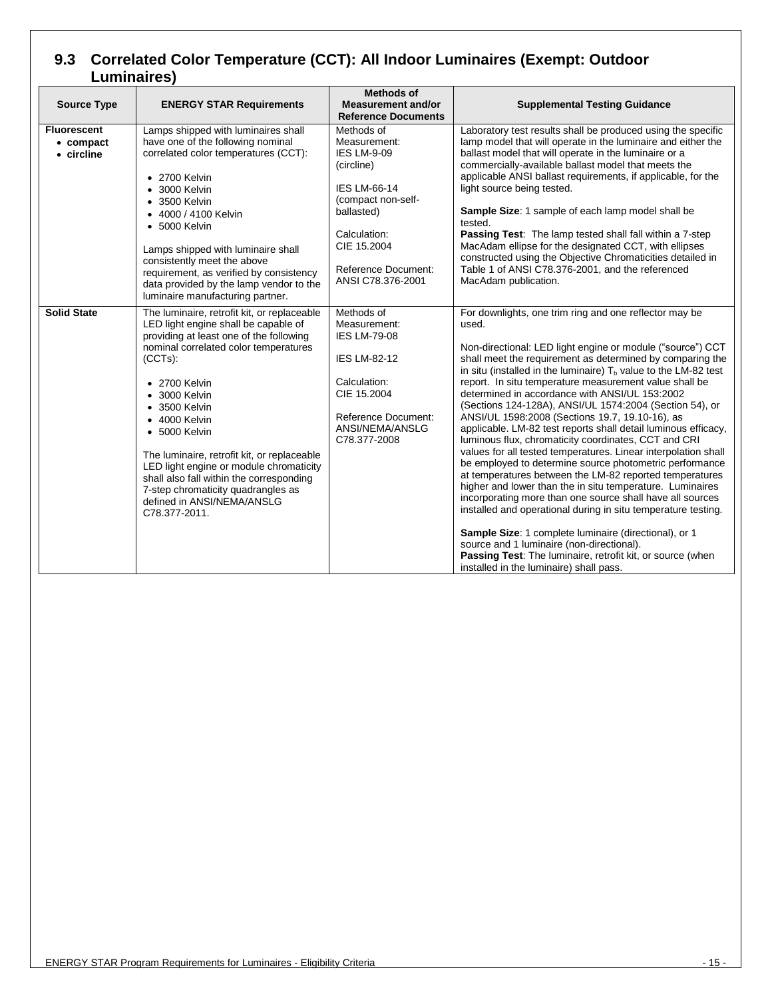### <span id="page-14-0"></span>**9.3 Correlated Color Temperature (CCT): All Indoor Luminaires (Exempt: Outdoor Luminaires)**

| <b>Source Type</b>                            | <b>ENERGY STAR Requirements</b>                                                                                                                                                                                                                                                                                                                                                                                                                                                                                                        | <b>Methods of</b><br><b>Measurement and/or</b><br><b>Reference Documents</b>                                                                                                                         | <b>Supplemental Testing Guidance</b>                                                                                                                                                                                                                                                                                                                                                                                                                                                                                                                                                                                                                                                                                                                                                                                                                                                                                                                                                                                                                                                                                                                                                                                  |
|-----------------------------------------------|----------------------------------------------------------------------------------------------------------------------------------------------------------------------------------------------------------------------------------------------------------------------------------------------------------------------------------------------------------------------------------------------------------------------------------------------------------------------------------------------------------------------------------------|------------------------------------------------------------------------------------------------------------------------------------------------------------------------------------------------------|-----------------------------------------------------------------------------------------------------------------------------------------------------------------------------------------------------------------------------------------------------------------------------------------------------------------------------------------------------------------------------------------------------------------------------------------------------------------------------------------------------------------------------------------------------------------------------------------------------------------------------------------------------------------------------------------------------------------------------------------------------------------------------------------------------------------------------------------------------------------------------------------------------------------------------------------------------------------------------------------------------------------------------------------------------------------------------------------------------------------------------------------------------------------------------------------------------------------------|
| <b>Fluorescent</b><br>• compact<br>• circline | Lamps shipped with luminaires shall<br>have one of the following nominal<br>correlated color temperatures (CCT):<br>$\bullet$ 2700 Kelvin<br>$\bullet$ 3000 Kelvin<br>$\bullet$ 3500 Kelvin<br>• 4000 / 4100 Kelvin<br>$-5000$ Kelvin<br>Lamps shipped with luminaire shall<br>consistently meet the above<br>requirement, as verified by consistency<br>data provided by the lamp vendor to the<br>luminaire manufacturing partner.                                                                                                   | Methods of<br>Measurement:<br><b>IES LM-9-09</b><br>(circline)<br>IES LM-66-14<br>(compact non-self-<br>ballasted)<br>Calculation:<br>CIE 15.2004<br><b>Reference Document:</b><br>ANSI C78.376-2001 | Laboratory test results shall be produced using the specific<br>lamp model that will operate in the luminaire and either the<br>ballast model that will operate in the luminaire or a<br>commercially-available ballast model that meets the<br>applicable ANSI ballast requirements, if applicable, for the<br>light source being tested.<br>Sample Size: 1 sample of each lamp model shall be<br>tested.<br>Passing Test: The lamp tested shall fall within a 7-step<br>MacAdam ellipse for the designated CCT, with ellipses<br>constructed using the Objective Chromaticities detailed in<br>Table 1 of ANSI C78.376-2001, and the referenced<br>MacAdam publication.                                                                                                                                                                                                                                                                                                                                                                                                                                                                                                                                             |
| <b>Solid State</b>                            | The luminaire, retrofit kit, or replaceable<br>LED light engine shall be capable of<br>providing at least one of the following<br>nominal correlated color temperatures<br>$(CCTs)$ :<br>$\bullet$ 2700 Kelvin<br>$\bullet$ 3000 Kelvin<br>$\bullet$ 3500 Kelvin<br>$\bullet$ 4000 Kelvin<br>$-5000$ Kelvin<br>The luminaire, retrofit kit, or replaceable<br>LED light engine or module chromaticity<br>shall also fall within the corresponding<br>7-step chromaticity quadrangles as<br>defined in ANSI/NEMA/ANSLG<br>C78.377-2011. | Methods of<br>Measurement:<br><b>IES LM-79-08</b><br><b>IES LM-82-12</b><br>Calculation:<br>CIE 15.2004<br>Reference Document:<br>ANSI/NEMA/ANSLG<br>C78.377-2008                                    | For downlights, one trim ring and one reflector may be<br>used.<br>Non-directional: LED light engine or module ("source") CCT<br>shall meet the requirement as determined by comparing the<br>in situ (installed in the luminaire) $Tb$ value to the LM-82 test<br>report. In situ temperature measurement value shall be<br>determined in accordance with ANSI/UL 153:2002<br>(Sections 124-128A), ANSI/UL 1574:2004 (Section 54), or<br>ANSI/UL 1598:2008 (Sections 19.7, 19.10-16), as<br>applicable. LM-82 test reports shall detail luminous efficacy,<br>luminous flux, chromaticity coordinates, CCT and CRI<br>values for all tested temperatures. Linear interpolation shall<br>be employed to determine source photometric performance<br>at temperatures between the LM-82 reported temperatures<br>higher and lower than the in situ temperature. Luminaires<br>incorporating more than one source shall have all sources<br>installed and operational during in situ temperature testing.<br>Sample Size: 1 complete luminaire (directional), or 1<br>source and 1 luminaire (non-directional).<br>Passing Test: The luminaire, retrofit kit, or source (when<br>installed in the luminaire) shall pass. |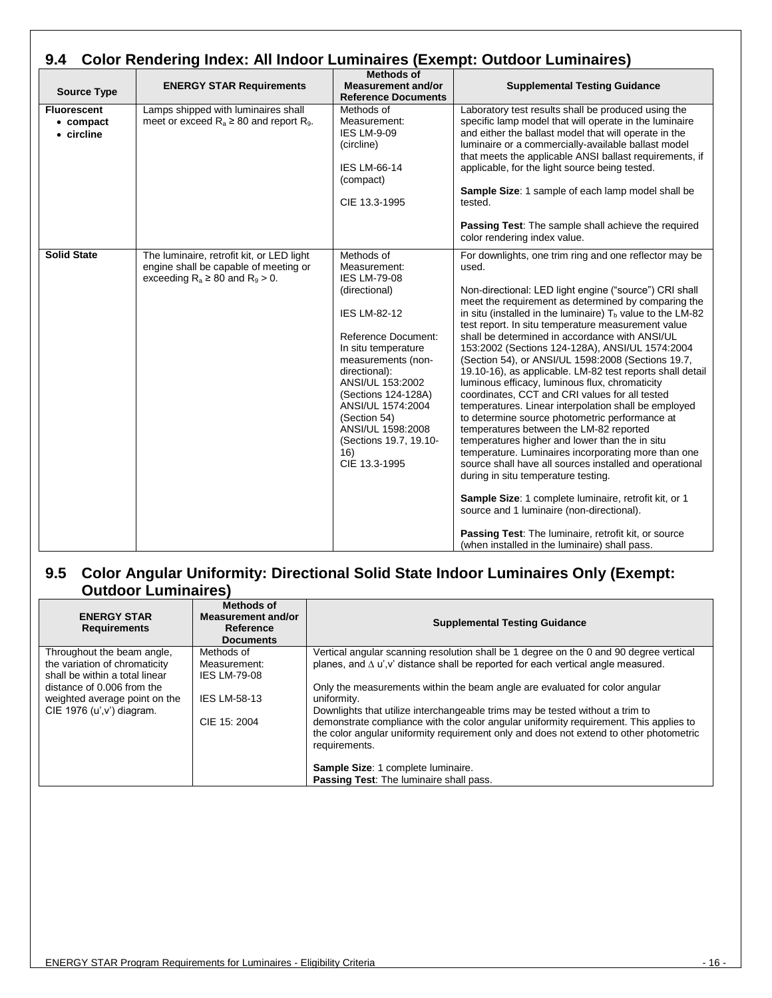<span id="page-15-0"></span>

| <b>Color Rendering Index: All Indoor Luminaires (Exempt: Outdoor Luminaires)</b><br>9.4 |                                                                                                                              |                                                                                                                                                                                                                                                                                                                                              |                                                                                                                                                                                                                                                                                                                                                                                                                                                                                                                                                                                                                                                                                                                                                                                                                                                                                                                                                                                                                                                                                                                                                                                                                   |
|-----------------------------------------------------------------------------------------|------------------------------------------------------------------------------------------------------------------------------|----------------------------------------------------------------------------------------------------------------------------------------------------------------------------------------------------------------------------------------------------------------------------------------------------------------------------------------------|-------------------------------------------------------------------------------------------------------------------------------------------------------------------------------------------------------------------------------------------------------------------------------------------------------------------------------------------------------------------------------------------------------------------------------------------------------------------------------------------------------------------------------------------------------------------------------------------------------------------------------------------------------------------------------------------------------------------------------------------------------------------------------------------------------------------------------------------------------------------------------------------------------------------------------------------------------------------------------------------------------------------------------------------------------------------------------------------------------------------------------------------------------------------------------------------------------------------|
| <b>Source Type</b>                                                                      | <b>ENERGY STAR Requirements</b>                                                                                              | <b>Methods of</b><br><b>Measurement and/or</b><br><b>Reference Documents</b>                                                                                                                                                                                                                                                                 | <b>Supplemental Testing Guidance</b>                                                                                                                                                                                                                                                                                                                                                                                                                                                                                                                                                                                                                                                                                                                                                                                                                                                                                                                                                                                                                                                                                                                                                                              |
| <b>Fluorescent</b><br>$\bullet$ compact<br>• circline                                   | Lamps shipped with luminaires shall<br>meet or exceed $R_a \geq 80$ and report $R_9$ .                                       | Methods of<br>Measurement:<br><b>IES LM-9-09</b><br>(circline)<br><b>IES LM-66-14</b><br>(compact)<br>CIE 13.3-1995                                                                                                                                                                                                                          | Laboratory test results shall be produced using the<br>specific lamp model that will operate in the luminaire<br>and either the ballast model that will operate in the<br>luminaire or a commercially-available ballast model<br>that meets the applicable ANSI ballast requirements, if<br>applicable, for the light source being tested.<br>Sample Size: 1 sample of each lamp model shall be<br>tested.<br>Passing Test: The sample shall achieve the required<br>color rendering index value.                                                                                                                                                                                                                                                                                                                                                                                                                                                                                                                                                                                                                                                                                                                 |
| <b>Solid State</b>                                                                      | The luminaire, retrofit kit, or LED light<br>engine shall be capable of meeting or<br>exceeding $R_a \ge 80$ and $R_9 > 0$ . | Methods of<br>Measurement:<br><b>IES LM-79-08</b><br>(directional)<br><b>IES LM-82-12</b><br><b>Reference Document:</b><br>In situ temperature<br>measurements (non-<br>directional):<br>ANSI/UL 153:2002<br>(Sections 124-128A)<br>ANSI/UL 1574:2004<br>(Section 54)<br>ANSI/UL 1598:2008<br>(Sections 19.7, 19.10-<br>16)<br>CIE 13.3-1995 | For downlights, one trim ring and one reflector may be<br>used.<br>Non-directional: LED light engine ("source") CRI shall<br>meet the requirement as determined by comparing the<br>in situ (installed in the luminaire) $Tb$ value to the LM-82<br>test report. In situ temperature measurement value<br>shall be determined in accordance with ANSI/UL<br>153:2002 (Sections 124-128A), ANSI/UL 1574:2004<br>(Section 54), or ANSI/UL 1598:2008 (Sections 19.7,<br>19.10-16), as applicable. LM-82 test reports shall detail<br>luminous efficacy, luminous flux, chromaticity<br>coordinates, CCT and CRI values for all tested<br>temperatures. Linear interpolation shall be employed<br>to determine source photometric performance at<br>temperatures between the LM-82 reported<br>temperatures higher and lower than the in situ<br>temperature. Luminaires incorporating more than one<br>source shall have all sources installed and operational<br>during in situ temperature testing.<br>Sample Size: 1 complete luminaire, retrofit kit, or 1<br>source and 1 luminaire (non-directional).<br>Passing Test: The luminaire, retrofit kit, or source<br>(when installed in the luminaire) shall pass. |

#### <span id="page-15-1"></span>**9.5 Color Angular Uniformity: Directional Solid State Indoor Luminaires Only (Exempt: Outdoor Luminaires)**

| <b>ENERGY STAR</b><br><b>Requirements</b>                       | Methods of<br>Measurement and/or<br>Reference<br><b>Documents</b> | <b>Supplemental Testing Guidance</b>                                                                                                                                                                                                                                              |
|-----------------------------------------------------------------|-------------------------------------------------------------------|-----------------------------------------------------------------------------------------------------------------------------------------------------------------------------------------------------------------------------------------------------------------------------------|
| Throughout the beam angle,                                      | Methods of                                                        | Vertical angular scanning resolution shall be 1 degree on the 0 and 90 degree vertical                                                                                                                                                                                            |
| the variation of chromaticity<br>shall be within a total linear | Measurement:<br><b>IES LM-79-08</b>                               | planes, and $\Delta$ u', v' distance shall be reported for each vertical angle measured.                                                                                                                                                                                          |
| distance of 0.006 from the<br>weighted average point on the     | <b>IES LM-58-13</b>                                               | Only the measurements within the beam angle are evaluated for color angular<br>uniformity.                                                                                                                                                                                        |
| CIE 1976 (u', v') diagram.                                      | CIE 15: 2004                                                      | Downlights that utilize interchangeable trims may be tested without a trim to<br>demonstrate compliance with the color angular uniformity requirement. This applies to<br>the color angular uniformity requirement only and does not extend to other photometric<br>requirements. |
|                                                                 |                                                                   | Sample Size: 1 complete luminaire.                                                                                                                                                                                                                                                |
|                                                                 |                                                                   | Passing Test: The luminaire shall pass.                                                                                                                                                                                                                                           |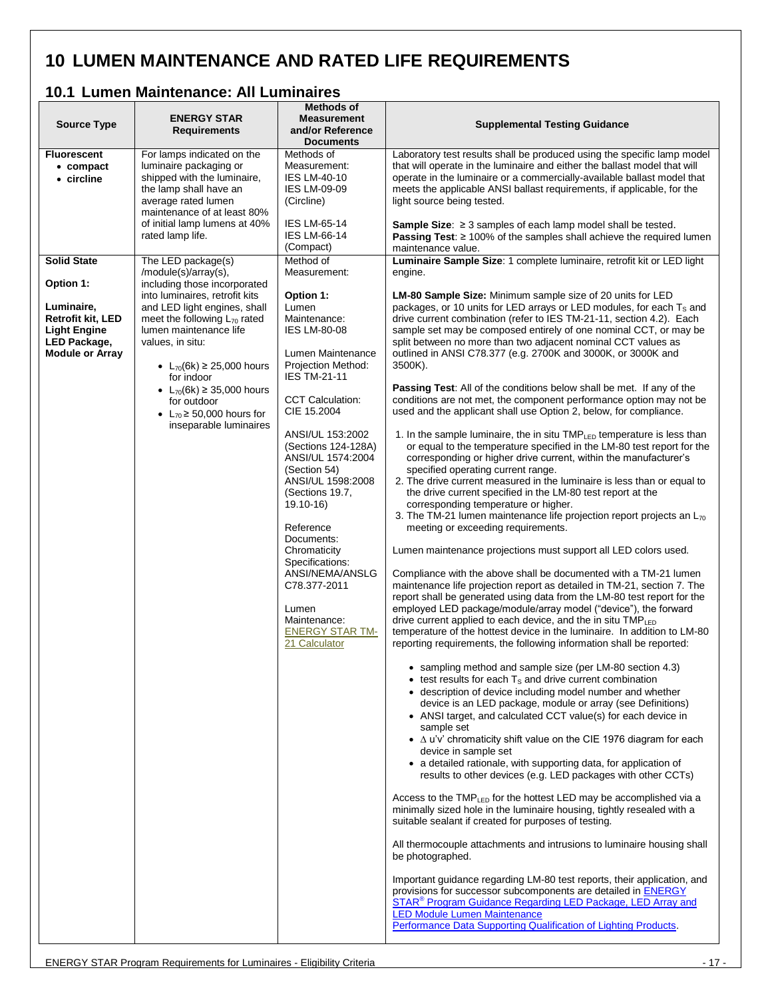# <span id="page-16-0"></span>**10 LUMEN MAINTENANCE AND RATED LIFE REQUIREMENTS**

### <span id="page-16-1"></span>**10.1 Lumen Maintenance: All Luminaires**

| <b>Source Type</b>                                                                                      | <b>ENERGY STAR</b><br><b>Requirements</b>                                                                                                                                                                                                                                                                         | <b>Methods of</b><br><b>Measurement</b><br>and/or Reference<br><b>Documents</b>                                                                                                                                                                                                                               | <b>Supplemental Testing Guidance</b>                                                                                                                                                                                                                                                                                                                                                                                                                                                                                                                                                                                                                                                                                                                                                                                                                                                                                                                                                                                                                                                                                                                                                                           |
|---------------------------------------------------------------------------------------------------------|-------------------------------------------------------------------------------------------------------------------------------------------------------------------------------------------------------------------------------------------------------------------------------------------------------------------|---------------------------------------------------------------------------------------------------------------------------------------------------------------------------------------------------------------------------------------------------------------------------------------------------------------|----------------------------------------------------------------------------------------------------------------------------------------------------------------------------------------------------------------------------------------------------------------------------------------------------------------------------------------------------------------------------------------------------------------------------------------------------------------------------------------------------------------------------------------------------------------------------------------------------------------------------------------------------------------------------------------------------------------------------------------------------------------------------------------------------------------------------------------------------------------------------------------------------------------------------------------------------------------------------------------------------------------------------------------------------------------------------------------------------------------------------------------------------------------------------------------------------------------|
| <b>Fluorescent</b><br>$\bullet$ compact<br>• circline                                                   | For lamps indicated on the<br>luminaire packaging or<br>shipped with the luminaire,<br>the lamp shall have an<br>average rated lumen<br>maintenance of at least 80%                                                                                                                                               | Methods of<br>Measurement:<br><b>IES LM-40-10</b><br><b>IES LM-09-09</b><br>(Circline)                                                                                                                                                                                                                        | Laboratory test results shall be produced using the specific lamp model<br>that will operate in the luminaire and either the ballast model that will<br>operate in the luminaire or a commercially-available ballast model that<br>meets the applicable ANSI ballast requirements, if applicable, for the<br>light source being tested.                                                                                                                                                                                                                                                                                                                                                                                                                                                                                                                                                                                                                                                                                                                                                                                                                                                                        |
|                                                                                                         | of initial lamp lumens at 40%<br>rated lamp life.                                                                                                                                                                                                                                                                 | <b>IES LM-65-14</b><br><b>IES LM-66-14</b><br>(Compact)                                                                                                                                                                                                                                                       | <b>Sample Size:</b> $\geq$ 3 samples of each lamp model shall be tested.<br><b>Passing Test:</b> $\geq$ 100% of the samples shall achieve the required lumen<br>maintenance value.                                                                                                                                                                                                                                                                                                                                                                                                                                                                                                                                                                                                                                                                                                                                                                                                                                                                                                                                                                                                                             |
| <b>Solid State</b><br>Option 1:                                                                         | The LED package(s)<br>/module(s)/array(s),<br>including those incorporated                                                                                                                                                                                                                                        | Method of<br>Measurement:                                                                                                                                                                                                                                                                                     | Luminaire Sample Size: 1 complete luminaire, retrofit kit or LED light<br>engine.                                                                                                                                                                                                                                                                                                                                                                                                                                                                                                                                                                                                                                                                                                                                                                                                                                                                                                                                                                                                                                                                                                                              |
| Luminaire,<br><b>Retrofit kit, LED</b><br><b>Light Engine</b><br>LED Package,<br><b>Module or Array</b> | into luminaires, retrofit kits<br>and LED light engines, shall<br>meet the following $L_{70}$ rated<br>lumen maintenance life<br>values, in situ:<br>• $L_{70}(6k) \ge 25,000$ hours<br>for indoor<br>• $L_{70}(6k) \ge 35,000$ hours<br>for outdoor<br>• $L_{70} \ge 50,000$ hours for<br>inseparable luminaires | Option 1:<br>Lumen<br>Maintenance:<br><b>IES LM-80-08</b><br>Lumen Maintenance<br>Projection Method:<br><b>IES TM-21-11</b><br><b>CCT Calculation:</b><br>CIE 15.2004<br>ANSI/UL 153:2002<br>(Sections 124-128A)<br>ANSI/UL 1574:2004<br>(Section 54)<br>ANSI/UL 1598:2008<br>(Sections 19.7,<br>$19.10 - 16$ | LM-80 Sample Size: Minimum sample size of 20 units for LED<br>packages, or 10 units for LED arrays or LED modules, for each T <sub>s</sub> and<br>drive current combination (refer to IES TM-21-11, section 4.2). Each<br>sample set may be composed entirely of one nominal CCT, or may be<br>split between no more than two adjacent nominal CCT values as<br>outlined in ANSI C78.377 (e.g. 2700K and 3000K, or 3000K and<br>3500K).<br>Passing Test: All of the conditions below shall be met. If any of the<br>conditions are not met, the component performance option may not be<br>used and the applicant shall use Option 2, below, for compliance.<br>1. In the sample luminaire, the in situ TMP <sub>LED</sub> temperature is less than<br>or equal to the temperature specified in the LM-80 test report for the<br>corresponding or higher drive current, within the manufacturer's<br>specified operating current range.<br>2. The drive current measured in the luminaire is less than or equal to<br>the drive current specified in the LM-80 test report at the<br>corresponding temperature or higher.<br>3. The TM-21 lumen maintenance life projection report projects an L <sub>70</sub> |
|                                                                                                         |                                                                                                                                                                                                                                                                                                                   | Reference<br>Documents:<br>Chromaticity<br>Specifications:<br>ANSI/NEMA/ANSLG<br>C78.377-2011<br>Lumen<br>Maintenance:<br><b>ENERGY STAR TM-</b><br>21 Calculator                                                                                                                                             | meeting or exceeding requirements.<br>Lumen maintenance projections must support all LED colors used.<br>Compliance with the above shall be documented with a TM-21 lumen<br>maintenance life projection report as detailed in TM-21, section 7. The<br>report shall be generated using data from the LM-80 test report for the<br>employed LED package/module/array model ("device"), the forward<br>drive current applied to each device, and the in situ TMP <sub>LED</sub><br>temperature of the hottest device in the luminaire. In addition to LM-80<br>reporting requirements, the following information shall be reported:<br>• sampling method and sample size (per LM-80 section 4.3)                                                                                                                                                                                                                                                                                                                                                                                                                                                                                                                |
|                                                                                                         |                                                                                                                                                                                                                                                                                                                   |                                                                                                                                                                                                                                                                                                               | $\bullet$ test results for each $T_s$ and drive current combination<br>• description of device including model number and whether<br>device is an LED package, module or array (see Definitions)<br>• ANSI target, and calculated CCT value(s) for each device in<br>sample set<br>$\bullet$ $\Delta$ u'v' chromaticity shift value on the CIE 1976 diagram for each<br>device in sample set<br>• a detailed rationale, with supporting data, for application of<br>results to other devices (e.g. LED packages with other CCTs)<br>Access to the TMP <sub>LED</sub> for the hottest LED may be accomplished via a<br>minimally sized hole in the luminaire housing, tightly resealed with a<br>suitable sealant if created for purposes of testing.<br>All thermocouple attachments and intrusions to luminaire housing shall<br>be photographed.<br>Important guidance regarding LM-80 test reports, their application, and<br>provisions for successor subcomponents are detailed in ENERGY<br>STAR <sup>®</sup> Program Guidance Regarding LED Package, LED Array and<br><b>LED Module Lumen Maintenance</b><br>Performance Data Supporting Qualification of Lighting Products.                            |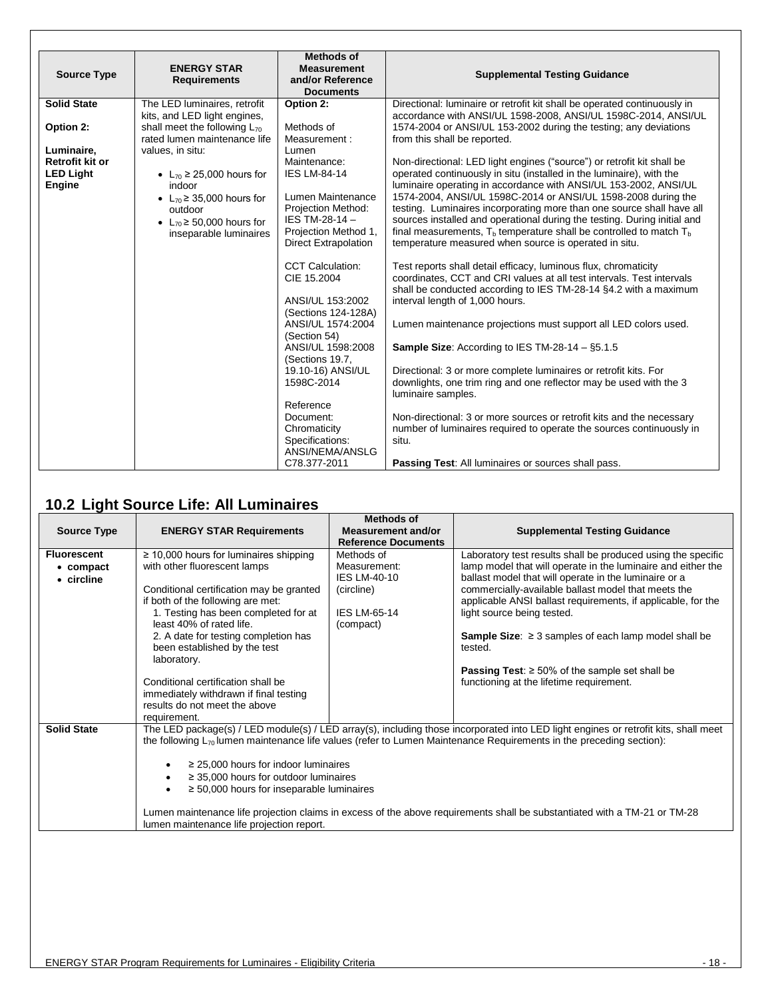| <b>Source Type</b>                                                 | <b>ENERGY STAR</b><br><b>Requirements</b>                                                                                                                                | <b>Methods of</b><br><b>Measurement</b><br>and/or Reference<br><b>Documents</b>                                                                                                                                                                                                                                                                                                   | <b>Supplemental Testing Guidance</b>                                                                                                                                                                                                                                                                                                                                                                                                                                                                                                                                                                                                                                                                                                                                                                                                                                                                                                                                                                                                                                                                                            |
|--------------------------------------------------------------------|--------------------------------------------------------------------------------------------------------------------------------------------------------------------------|-----------------------------------------------------------------------------------------------------------------------------------------------------------------------------------------------------------------------------------------------------------------------------------------------------------------------------------------------------------------------------------|---------------------------------------------------------------------------------------------------------------------------------------------------------------------------------------------------------------------------------------------------------------------------------------------------------------------------------------------------------------------------------------------------------------------------------------------------------------------------------------------------------------------------------------------------------------------------------------------------------------------------------------------------------------------------------------------------------------------------------------------------------------------------------------------------------------------------------------------------------------------------------------------------------------------------------------------------------------------------------------------------------------------------------------------------------------------------------------------------------------------------------|
| <b>Solid State</b>                                                 | The LED luminaires, retrofit<br>kits, and LED light engines,                                                                                                             | Option 2:                                                                                                                                                                                                                                                                                                                                                                         | Directional: luminaire or retrofit kit shall be operated continuously in<br>accordance with ANSI/UL 1598-2008, ANSI/UL 1598C-2014, ANSI/UL                                                                                                                                                                                                                                                                                                                                                                                                                                                                                                                                                                                                                                                                                                                                                                                                                                                                                                                                                                                      |
| Option 2:                                                          | shall meet the following $L_{70}$<br>rated lumen maintenance life                                                                                                        | Methods of<br>Measurement:                                                                                                                                                                                                                                                                                                                                                        | 1574-2004 or ANSI/UL 153-2002 during the testing; any deviations<br>from this shall be reported.                                                                                                                                                                                                                                                                                                                                                                                                                                                                                                                                                                                                                                                                                                                                                                                                                                                                                                                                                                                                                                |
| Luminaire,<br><b>Retrofit kit or</b><br><b>LED Light</b><br>Engine | values, in situ:<br>• $L_{70} \ge 25,000$ hours for<br>indoor<br>• $L_{70} \ge 35,000$ hours for<br>outdoor<br>• $L_{70} \ge 50,000$ hours for<br>inseparable luminaires | Lumen<br>Maintenance:<br><b>IES LM-84-14</b><br>Lumen Maintenance<br>Projection Method:<br>IES TM-28-14-<br>Projection Method 1,<br><b>Direct Extrapolation</b><br><b>CCT Calculation:</b><br>CIE 15.2004<br>ANSI/UL 153:2002<br>(Sections 124-128A)<br>ANSI/UL 1574:2004<br>(Section 54)<br>ANSI/UL 1598:2008<br>(Sections 19.7,<br>19.10-16) ANSI/UL<br>1598C-2014<br>Reference | Non-directional: LED light engines ("source") or retrofit kit shall be<br>operated continuously in situ (installed in the luminaire), with the<br>luminaire operating in accordance with ANSI/UL 153-2002, ANSI/UL<br>1574-2004, ANSI/UL 1598C-2014 or ANSI/UL 1598-2008 during the<br>testing. Luminaires incorporating more than one source shall have all<br>sources installed and operational during the testing. During initial and<br>final measurements, $T_b$ temperature shall be controlled to match $T_b$<br>temperature measured when source is operated in situ.<br>Test reports shall detail efficacy, luminous flux, chromaticity<br>coordinates, CCT and CRI values at all test intervals. Test intervals<br>shall be conducted according to IES TM-28-14 §4.2 with a maximum<br>interval length of 1,000 hours.<br>Lumen maintenance projections must support all LED colors used.<br><b>Sample Size:</b> According to IES TM-28-14 $-$ §5.1.5<br>Directional: 3 or more complete luminaires or retrofit kits. For<br>downlights, one trim ring and one reflector may be used with the 3<br>luminaire samples. |
|                                                                    |                                                                                                                                                                          | Document:<br>Chromaticity<br>Specifications:<br>ANSI/NEMA/ANSLG<br>C78.377-2011                                                                                                                                                                                                                                                                                                   | Non-directional: 3 or more sources or retrofit kits and the necessary<br>number of luminaires required to operate the sources continuously in<br>situ.<br><b>Passing Test:</b> All luminaires or sources shall pass.                                                                                                                                                                                                                                                                                                                                                                                                                                                                                                                                                                                                                                                                                                                                                                                                                                                                                                            |

### <span id="page-17-0"></span>**10.2 Light Source Life: All Luminaires**

| <b>Source Type</b>                            | <b>ENERGY STAR Requirements</b>                                                                                                                                                                                                                                                                                                                                                                                                                                                                                                                                                                        | <b>Methods of</b><br>Measurement and/or<br><b>Reference Documents</b>                               | <b>Supplemental Testing Guidance</b>                                                                                                                                                                                                                                                                                                                                                                                                                                                                                                 |
|-----------------------------------------------|--------------------------------------------------------------------------------------------------------------------------------------------------------------------------------------------------------------------------------------------------------------------------------------------------------------------------------------------------------------------------------------------------------------------------------------------------------------------------------------------------------------------------------------------------------------------------------------------------------|-----------------------------------------------------------------------------------------------------|--------------------------------------------------------------------------------------------------------------------------------------------------------------------------------------------------------------------------------------------------------------------------------------------------------------------------------------------------------------------------------------------------------------------------------------------------------------------------------------------------------------------------------------|
| <b>Fluorescent</b><br>• compact<br>• circline | $\geq$ 10,000 hours for luminaires shipping<br>with other fluorescent lamps<br>Conditional certification may be granted<br>if both of the following are met:<br>1. Testing has been completed for at<br>least 40% of rated life.<br>2. A date for testing completion has<br>been established by the test<br>laboratory.<br>Conditional certification shall be<br>immediately withdrawn if final testing<br>results do not meet the above                                                                                                                                                               | Methods of<br>Measurement:<br><b>IES LM-40-10</b><br>(circline)<br><b>IES LM-65-14</b><br>(compact) | Laboratory test results shall be produced using the specific<br>lamp model that will operate in the luminaire and either the<br>ballast model that will operate in the luminaire or a<br>commercially-available ballast model that meets the<br>applicable ANSI ballast requirements, if applicable, for the<br>light source being tested.<br><b>Sample Size:</b> $\geq$ 3 samples of each lamp model shall be<br>tested.<br><b>Passing Test:</b> $\geq 50\%$ of the sample set shall be<br>functioning at the lifetime requirement. |
| <b>Solid State</b>                            | requirement.<br>The LED package(s) / LED module(s) / LED array(s), including those incorporated into LED light engines or retrofit kits, shall meet<br>the following $L_{70}$ lumen maintenance life values (refer to Lumen Maintenance Requirements in the preceding section):<br>$\geq$ 25,000 hours for indoor luminaires<br>$\geq$ 35,000 hours for outdoor luminaires<br>$\geq$ 50,000 hours for inseparable luminaires<br>Lumen maintenance life projection claims in excess of the above requirements shall be substantiated with a TM-21 or TM-28<br>lumen maintenance life projection report. |                                                                                                     |                                                                                                                                                                                                                                                                                                                                                                                                                                                                                                                                      |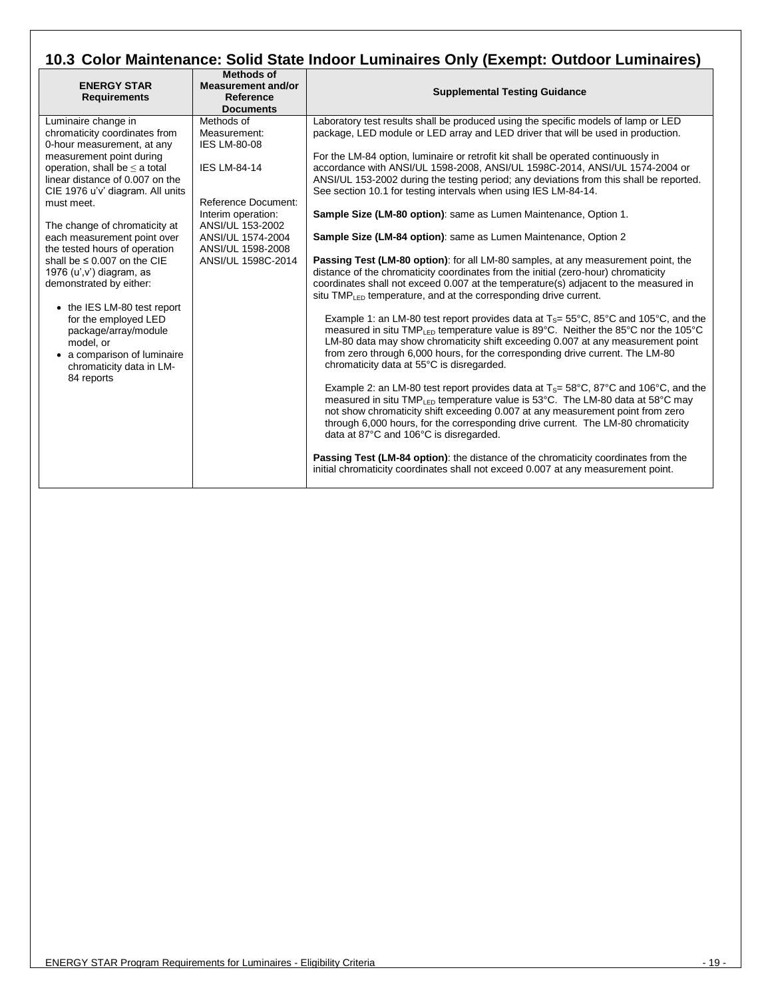### <span id="page-18-0"></span>**10.3 Color Maintenance: Solid State Indoor Luminaires Only (Exempt: Outdoor Luminaires)**

| <b>ENERGY STAR</b><br><b>Requirements</b>                                                                                                           | <b>Methods of</b><br><b>Measurement and/or</b><br>Reference<br><b>Documents</b> | <b>Supplemental Testing Guidance</b>                                                                                                                                                                                                                                                                                                                                                                                           |
|-----------------------------------------------------------------------------------------------------------------------------------------------------|---------------------------------------------------------------------------------|--------------------------------------------------------------------------------------------------------------------------------------------------------------------------------------------------------------------------------------------------------------------------------------------------------------------------------------------------------------------------------------------------------------------------------|
| Luminaire change in<br>chromaticity coordinates from<br>0-hour measurement, at any                                                                  | Methods of<br>Measurement:<br><b>IES LM-80-08</b>                               | Laboratory test results shall be produced using the specific models of lamp or LED<br>package, LED module or LED array and LED driver that will be used in production.                                                                                                                                                                                                                                                         |
| measurement point during<br>operation, shall be $\leq$ a total<br>linear distance of 0.007 on the<br>CIE 1976 u'v' diagram. All units               | <b>IES LM-84-14</b>                                                             | For the LM-84 option, luminaire or retrofit kit shall be operated continuously in<br>accordance with ANSI/UL 1598-2008, ANSI/UL 1598C-2014, ANSI/UL 1574-2004 or<br>ANSI/UL 153-2002 during the testing period; any deviations from this shall be reported.<br>See section 10.1 for testing intervals when using IES LM-84-14.                                                                                                 |
| must meet.<br>The change of chromaticity at                                                                                                         | Reference Document:<br>Interim operation:<br>ANSI/UL 153-2002                   | Sample Size (LM-80 option): same as Lumen Maintenance, Option 1.                                                                                                                                                                                                                                                                                                                                                               |
| each measurement point over<br>the tested hours of operation                                                                                        | ANSI/UL 1574-2004<br>ANSI/UL 1598-2008                                          | Sample Size (LM-84 option): same as Lumen Maintenance, Option 2                                                                                                                                                                                                                                                                                                                                                                |
| shall be $\leq 0.007$ on the CIE<br>1976 $(u', v')$ diagram, as<br>demonstrated by either:                                                          | ANSI/UL 1598C-2014                                                              | <b>Passing Test (LM-80 option):</b> for all LM-80 samples, at any measurement point, the<br>distance of the chromaticity coordinates from the initial (zero-hour) chromaticity<br>coordinates shall not exceed 0.007 at the temperature(s) adjacent to the measured in<br>situ TMP <sub>LED</sub> temperature, and at the corresponding drive current.                                                                         |
| • the IES LM-80 test report<br>for the employed LED<br>package/array/module<br>model, or<br>• a comparison of luminaire<br>chromaticity data in LM- |                                                                                 | Example 1: an LM-80 test report provides data at $T_s = 55^{\circ}C$ , 85°C and 105°C, and the<br>measured in situ TMP <sub>LED</sub> temperature value is 89°C. Neither the 85°C nor the 105°C<br>LM-80 data may show chromaticity shift exceeding 0.007 at any measurement point<br>from zero through 6,000 hours, for the corresponding drive current. The LM-80<br>chromaticity data at 55°C is disregarded.               |
| 84 reports                                                                                                                                          |                                                                                 | Example 2: an LM-80 test report provides data at $T_s = 58^{\circ}C$ , $87^{\circ}C$ and $106^{\circ}C$ , and the<br>measured in situ TMP <sub>LED</sub> temperature value is 53°C. The LM-80 data at 58°C may<br>not show chromaticity shift exceeding 0.007 at any measurement point from zero<br>through 6,000 hours, for the corresponding drive current. The LM-80 chromaticity<br>data at 87°C and 106°C is disregarded. |
|                                                                                                                                                     |                                                                                 | Passing Test (LM-84 option): the distance of the chromaticity coordinates from the<br>initial chromaticity coordinates shall not exceed 0.007 at any measurement point.                                                                                                                                                                                                                                                        |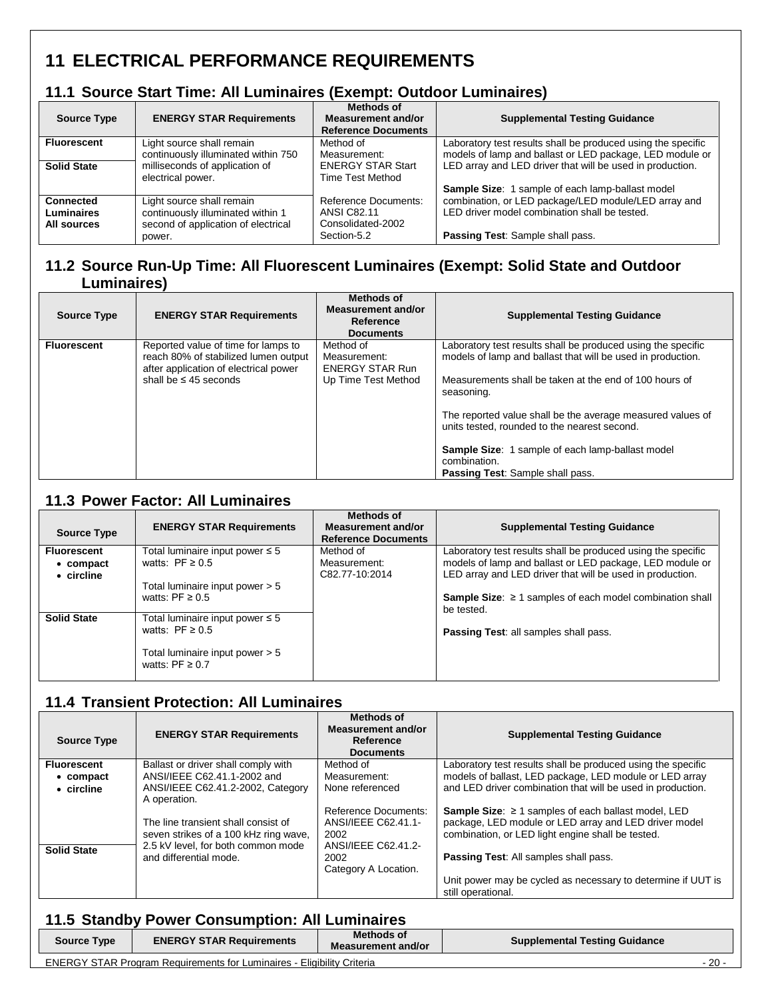# <span id="page-19-0"></span>**11 ELECTRICAL PERFORMANCE REQUIREMENTS**

### <span id="page-19-1"></span>**11.1 Source Start Time: All Luminaires (Exempt: Outdoor Luminaires)**

| <b>Source Type</b>                            | <b>ENERGY STAR Requirements</b>                                                                                 | <b>Methods of</b><br>Measurement and/or<br><b>Reference Documents</b>          | <b>Supplemental Testing Guidance</b>                                                                                                      |
|-----------------------------------------------|-----------------------------------------------------------------------------------------------------------------|--------------------------------------------------------------------------------|-------------------------------------------------------------------------------------------------------------------------------------------|
| <b>Fluorescent</b>                            | Light source shall remain                                                                                       | Method of                                                                      | Laboratory test results shall be produced using the specific                                                                              |
|                                               | continuously illuminated within 750                                                                             | Measurement:                                                                   | models of lamp and ballast or LED package, LED module or                                                                                  |
| <b>Solid State</b>                            | milliseconds of application of                                                                                  | <b>ENERGY STAR Start</b>                                                       | LED array and LED driver that will be used in production.                                                                                 |
|                                               | electrical power.                                                                                               | <b>Time Test Method</b>                                                        | Sample Size: 1 sample of each lamp-ballast model                                                                                          |
| <b>Connected</b><br>Luminaires<br>All sources | Light source shall remain<br>continuously illuminated within 1<br>second of application of electrical<br>power. | Reference Documents:<br><b>ANSI C82.11</b><br>Consolidated-2002<br>Section-5.2 | combination, or LED package/LED module/LED array and<br>LED driver model combination shall be tested.<br>Passing Test: Sample shall pass. |

#### <span id="page-19-2"></span>**11.2 Source Run-Up Time: All Fluorescent Luminaires (Exempt: Solid State and Outdoor Luminaires)**

| <b>Source Type</b> | <b>ENERGY STAR Requirements</b>                                                                                                                    | <b>Methods of</b><br>Measurement and/or<br>Reference<br><b>Documents</b>   | <b>Supplemental Testing Guidance</b>                                                                                                                                                                                                                                                                                                                                                                                             |
|--------------------|----------------------------------------------------------------------------------------------------------------------------------------------------|----------------------------------------------------------------------------|----------------------------------------------------------------------------------------------------------------------------------------------------------------------------------------------------------------------------------------------------------------------------------------------------------------------------------------------------------------------------------------------------------------------------------|
| <b>Fluorescent</b> | Reported value of time for lamps to<br>reach 80% of stabilized lumen output<br>after application of electrical power<br>shall be $\leq 45$ seconds | Method of<br>Measurement:<br><b>ENERGY STAR Run</b><br>Up Time Test Method | Laboratory test results shall be produced using the specific<br>models of lamp and ballast that will be used in production.<br>Measurements shall be taken at the end of 100 hours of<br>seasoning.<br>The reported value shall be the average measured values of<br>units tested, rounded to the nearest second.<br>Sample Size: 1 sample of each lamp-ballast model<br>combination.<br><b>Passing Test: Sample shall pass.</b> |

#### <span id="page-19-3"></span>**11.3 Power Factor: All Luminaires**

| <b>Source Type</b> | <b>ENERGY STAR Requirements</b>                         | Methods of<br>Measurement and/or<br><b>Reference Documents</b> | <b>Supplemental Testing Guidance</b>                                               |
|--------------------|---------------------------------------------------------|----------------------------------------------------------------|------------------------------------------------------------------------------------|
| <b>Fluorescent</b> | Total luminaire input power $\leq 5$                    | Method of                                                      | Laboratory test results shall be produced using the specific                       |
| $\bullet$ compact  | watts: $PF \ge 0.5$                                     | Measurement:                                                   | models of lamp and ballast or LED package, LED module or                           |
| • circline         |                                                         | C82.77-10:2014                                                 | LED array and LED driver that will be used in production.                          |
|                    | Total luminaire input power $> 5$                       |                                                                |                                                                                    |
|                    | watts: PF $\geq 0.5$                                    |                                                                | <b>Sample Size:</b> $\geq$ 1 samples of each model combination shall<br>be tested. |
| <b>Solid State</b> | Total luminaire input power $\leq 5$                    |                                                                |                                                                                    |
|                    | watts: $PF \ge 0.5$                                     |                                                                | <b>Passing Test: all samples shall pass.</b>                                       |
|                    | Total luminaire input power > 5<br>watts: $PF \geq 0.7$ |                                                                |                                                                                    |

### <span id="page-19-4"></span>**11.4 Transient Protection: All Luminaires**

| <b>Source Type</b> | <b>ENERGY STAR Requirements</b>                                                                                    | <b>Methods of</b><br>Measurement and/or<br>Reference<br><b>Documents</b>   | <b>Supplemental Testing Guidance</b>                                                                                                                                          |
|--------------------|--------------------------------------------------------------------------------------------------------------------|----------------------------------------------------------------------------|-------------------------------------------------------------------------------------------------------------------------------------------------------------------------------|
| <b>Fluorescent</b> | Ballast or driver shall comply with                                                                                | Method of                                                                  | Laboratory test results shall be produced using the specific                                                                                                                  |
| $\bullet$ compact  | ANSI/IEEE C62.41.1-2002 and                                                                                        | Measurement:                                                               | models of ballast, LED package, LED module or LED array                                                                                                                       |
| • circline         | ANSI/IEEE C62.41.2-2002, Category<br>A operation.                                                                  | None referenced                                                            | and LED driver combination that will be used in production.                                                                                                                   |
| <b>Solid State</b> | The line transient shall consist of<br>seven strikes of a 100 kHz ring wave,<br>2.5 kV level, for both common mode | Reference Documents:<br>ANSI/IEEE C62.41.1-<br>2002<br>ANSI/IEEE C62.41.2- | <b>Sample Size:</b> $\geq$ 1 samples of each ballast model, LED<br>package, LED module or LED array and LED driver model<br>combination, or LED light engine shall be tested. |
|                    | and differential mode.                                                                                             | 2002<br>Category A Location.                                               | <b>Passing Test: All samples shall pass.</b>                                                                                                                                  |
|                    |                                                                                                                    |                                                                            | Unit power may be cycled as necessary to determine if UUT is<br>still operational.                                                                                            |

### <span id="page-19-5"></span>**11.5 Standby Power Consumption: All Luminaires**

| <b>Source Type</b> | <b>ENERGY STAR Requirements</b>                                               | Methods of<br><b>Measurement and/or</b> | <b>Supplemental Testing Guidance</b> |        |
|--------------------|-------------------------------------------------------------------------------|-----------------------------------------|--------------------------------------|--------|
|                    | <b>ENERGY STAR Program Requirements for Luminaires - Eligibility Criteria</b> |                                         |                                      | $20 -$ |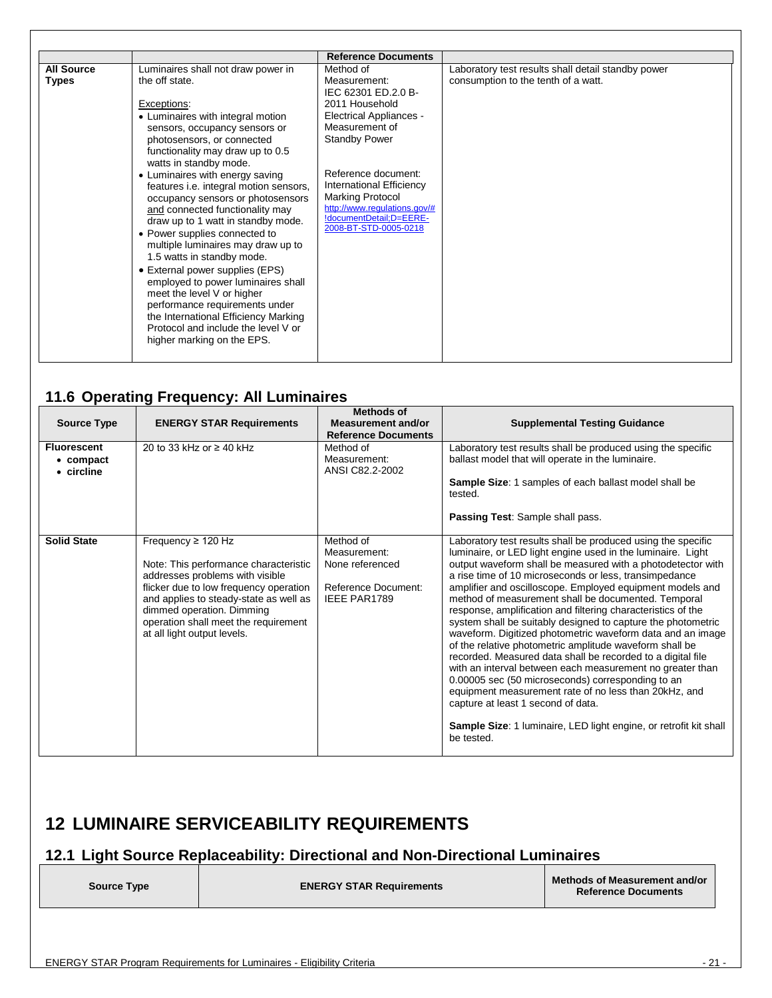|                                   |                                                                                                                                                                                                                                                                                                                                                                                                                                                                                                                                                                                                                                                                                                                                                                                             | <b>Reference Documents</b>                                                                                                                                                                                                                                                                                              |                                                                                           |
|-----------------------------------|---------------------------------------------------------------------------------------------------------------------------------------------------------------------------------------------------------------------------------------------------------------------------------------------------------------------------------------------------------------------------------------------------------------------------------------------------------------------------------------------------------------------------------------------------------------------------------------------------------------------------------------------------------------------------------------------------------------------------------------------------------------------------------------------|-------------------------------------------------------------------------------------------------------------------------------------------------------------------------------------------------------------------------------------------------------------------------------------------------------------------------|-------------------------------------------------------------------------------------------|
| <b>All Source</b><br><b>Types</b> | Luminaires shall not draw power in<br>the off state.<br>Exceptions:<br>• Luminaires with integral motion<br>sensors, occupancy sensors or<br>photosensors, or connected<br>functionality may draw up to 0.5<br>watts in standby mode.<br>• Luminaires with energy saving<br>features i.e. integral motion sensors,<br>occupancy sensors or photosensors<br>and connected functionality may<br>draw up to 1 watt in standby mode.<br>• Power supplies connected to<br>multiple luminaires may draw up to<br>1.5 watts in standby mode.<br>• External power supplies (EPS)<br>employed to power luminaires shall<br>meet the level V or higher<br>performance requirements under<br>the International Efficiency Marking<br>Protocol and include the level V or<br>higher marking on the EPS. | Method of<br>Measurement:<br>IEC 62301 ED.2.0 B-<br>2011 Household<br><b>Electrical Appliances -</b><br>Measurement of<br><b>Standby Power</b><br>Reference document:<br><b>International Efficiency</b><br><b>Marking Protocol</b><br>http://www.regulations.gov/#<br>!documentDetail;D=EERE-<br>2008-BT-STD-0005-0218 | Laboratory test results shall detail standby power<br>consumption to the tenth of a watt. |

### <span id="page-20-0"></span>**11.6 Operating Frequency: All Luminaires**

| <b>Source Type</b>                            | <b>ENERGY STAR Requirements</b>                                                                                                                                                                                                                                                             | Methods of<br><b>Measurement and/or</b><br><b>Reference Documents</b>                      | <b>Supplemental Testing Guidance</b>                                                                                                                                                                                                                                                                                                                                                                                                                                                                                                                                                                                                                                                                                                                                                                                                                                                                                                                                                                 |
|-----------------------------------------------|---------------------------------------------------------------------------------------------------------------------------------------------------------------------------------------------------------------------------------------------------------------------------------------------|--------------------------------------------------------------------------------------------|------------------------------------------------------------------------------------------------------------------------------------------------------------------------------------------------------------------------------------------------------------------------------------------------------------------------------------------------------------------------------------------------------------------------------------------------------------------------------------------------------------------------------------------------------------------------------------------------------------------------------------------------------------------------------------------------------------------------------------------------------------------------------------------------------------------------------------------------------------------------------------------------------------------------------------------------------------------------------------------------------|
| <b>Fluorescent</b><br>• compact<br>• circline | 20 to 33 kHz or $\geq$ 40 kHz                                                                                                                                                                                                                                                               | Method of<br>Measurement:<br>ANSI C82.2-2002                                               | Laboratory test results shall be produced using the specific<br>ballast model that will operate in the luminaire.<br>Sample Size: 1 samples of each ballast model shall be<br>tested.<br>Passing Test: Sample shall pass.                                                                                                                                                                                                                                                                                                                                                                                                                                                                                                                                                                                                                                                                                                                                                                            |
| <b>Solid State</b>                            | Frequency $\geq$ 120 Hz<br>Note: This performance characteristic<br>addresses problems with visible<br>flicker due to low frequency operation<br>and applies to steady-state as well as<br>dimmed operation. Dimming<br>operation shall meet the requirement<br>at all light output levels. | Method of<br>Measurement:<br>None referenced<br>Reference Document:<br><b>IEEE PAR1789</b> | Laboratory test results shall be produced using the specific<br>luminaire, or LED light engine used in the luminaire. Light<br>output waveform shall be measured with a photodetector with<br>a rise time of 10 microseconds or less, transimpedance<br>amplifier and oscilloscope. Employed equipment models and<br>method of measurement shall be documented. Temporal<br>response, amplification and filtering characteristics of the<br>system shall be suitably designed to capture the photometric<br>waveform. Digitized photometric waveform data and an image<br>of the relative photometric amplitude waveform shall be<br>recorded. Measured data shall be recorded to a digital file<br>with an interval between each measurement no greater than<br>0.00005 sec (50 microseconds) corresponding to an<br>equipment measurement rate of no less than 20kHz, and<br>capture at least 1 second of data.<br>Sample Size: 1 luminaire, LED light engine, or retrofit kit shall<br>be tested. |

### <span id="page-20-1"></span>**12 LUMINAIRE SERVICEABILITY REQUIREMENTS**

# <span id="page-20-2"></span>**12.1 Light Source Replaceability: Directional and Non-Directional Luminaires**

| <b>Source Type</b> | <b>ENERGY STAR Requirements</b> | <b>Methods of Measurement and/or</b><br><b>Reference Documents</b> |
|--------------------|---------------------------------|--------------------------------------------------------------------|
|                    |                                 |                                                                    |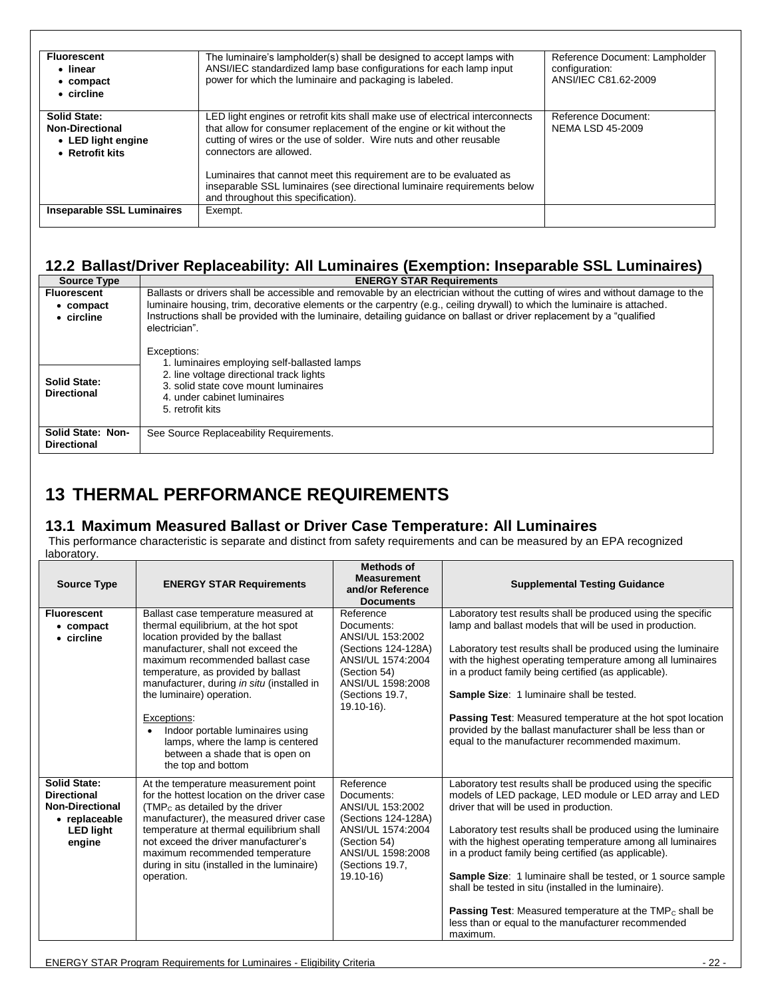| <b>Fluorescent</b><br>• linear<br>$\bullet$ compact<br>• circline                      | The luminaire's lampholder(s) shall be designed to accept lamps with<br>ANSI/IEC standardized lamp base configurations for each lamp input<br>power for which the luminaire and packaging is labeled.                                                                                                                                                                                                                                             | Reference Document: Lampholder<br>configuration:<br>ANSI/IEC C81.62-2009 |
|----------------------------------------------------------------------------------------|---------------------------------------------------------------------------------------------------------------------------------------------------------------------------------------------------------------------------------------------------------------------------------------------------------------------------------------------------------------------------------------------------------------------------------------------------|--------------------------------------------------------------------------|
| <b>Solid State:</b><br><b>Non-Directional</b><br>• LED light engine<br>• Retrofit kits | LED light engines or retrofit kits shall make use of electrical interconnects<br>that allow for consumer replacement of the engine or kit without the<br>cutting of wires or the use of solder. Wire nuts and other reusable<br>connectors are allowed.<br>Luminaires that cannot meet this requirement are to be evaluated as<br>inseparable SSL luminaires (see directional luminaire requirements below<br>and throughout this specification). | Reference Document:<br><b>NEMA LSD 45-2009</b>                           |
| <b>Inseparable SSL Luminaires</b>                                                      | Exempt.                                                                                                                                                                                                                                                                                                                                                                                                                                           |                                                                          |

### <span id="page-21-0"></span>**12.2 Ballast/Driver Replaceability: All Luminaires (Exemption: Inseparable SSL Luminaires)**

| <b>Source Type</b>                      | <b>ENERGY STAR Requirements</b>                                                                                                          |
|-----------------------------------------|------------------------------------------------------------------------------------------------------------------------------------------|
| <b>Fluorescent</b>                      | Ballasts or drivers shall be accessible and removable by an electrician without the cutting of wires and without damage to the           |
| $\bullet$ compact                       | luminaire housing, trim, decorative elements or the carpentry (e.g., ceiling drywall) to which the luminaire is attached.                |
| • circline                              | Instructions shall be provided with the luminaire, detailing quidance on ballast or driver replacement by a "qualified"<br>electrician". |
|                                         | Exceptions:                                                                                                                              |
|                                         | 1. luminaires employing self-ballasted lamps                                                                                             |
| <b>Solid State:</b>                     | 2. line voltage directional track lights                                                                                                 |
| <b>Directional</b>                      | 3. solid state cove mount luminaires                                                                                                     |
|                                         | 4. under cabinet luminaires                                                                                                              |
|                                         | 5. retrofit kits                                                                                                                         |
|                                         |                                                                                                                                          |
| Solid State: Non-<br><b>Directional</b> | See Source Replaceability Requirements.                                                                                                  |

### <span id="page-21-1"></span>**13 THERMAL PERFORMANCE REQUIREMENTS**

#### <span id="page-21-2"></span>**13.1 Maximum Measured Ballast or Driver Case Temperature: All Luminaires**

This performance characteristic is separate and distinct from safety requirements and can be measured by an EPA recognized laboratory.

| <b>Source Type</b>                                                                                                 | <b>ENERGY STAR Requirements</b>                                                                                                                                                                                                                                                                                                                                                                                                                               | <b>Methods of</b><br><b>Measurement</b><br>and/or Reference<br><b>Documents</b>                                                                                   | <b>Supplemental Testing Guidance</b>                                                                                                                                                                                                                                                                                                                                                                                                                                                                                                                                                                                               |
|--------------------------------------------------------------------------------------------------------------------|---------------------------------------------------------------------------------------------------------------------------------------------------------------------------------------------------------------------------------------------------------------------------------------------------------------------------------------------------------------------------------------------------------------------------------------------------------------|-------------------------------------------------------------------------------------------------------------------------------------------------------------------|------------------------------------------------------------------------------------------------------------------------------------------------------------------------------------------------------------------------------------------------------------------------------------------------------------------------------------------------------------------------------------------------------------------------------------------------------------------------------------------------------------------------------------------------------------------------------------------------------------------------------------|
| <b>Fluorescent</b><br>• compact<br>• circline                                                                      | Ballast case temperature measured at<br>thermal equilibrium, at the hot spot<br>location provided by the ballast<br>manufacturer, shall not exceed the<br>maximum recommended ballast case<br>temperature, as provided by ballast<br>manufacturer, during in situ (installed in<br>the luminaire) operation.<br>Exceptions:<br>Indoor portable luminaires using<br>lamps, where the lamp is centered<br>between a shade that is open on<br>the top and bottom | Reference<br>Documents:<br>ANSI/UL 153:2002<br>(Sections 124-128A)<br>ANSI/UL 1574:2004<br>(Section 54)<br>ANSI/UL 1598:2008<br>(Sections 19.7,<br>$19.10 - 16$ . | Laboratory test results shall be produced using the specific<br>lamp and ballast models that will be used in production.<br>Laboratory test results shall be produced using the luminaire<br>with the highest operating temperature among all luminaires<br>in a product family being certified (as applicable).<br>Sample Size: 1 luminaire shall be tested.<br>Passing Test: Measured temperature at the hot spot location<br>provided by the ballast manufacturer shall be less than or<br>equal to the manufacturer recommended maximum.                                                                                       |
| <b>Solid State:</b><br><b>Directional</b><br><b>Non-Directional</b><br>• replaceable<br><b>LED light</b><br>engine | At the temperature measurement point<br>for the hottest location on the driver case<br>$(TMPc$ as detailed by the driver<br>manufacturer), the measured driver case<br>temperature at thermal equilibrium shall<br>not exceed the driver manufacturer's<br>maximum recommended temperature<br>during in situ (installed in the luminaire)<br>operation.                                                                                                       | Reference<br>Documents:<br>ANSI/UL 153:2002<br>(Sections 124-128A)<br>ANSI/UL 1574:2004<br>(Section 54)<br>ANSI/UL 1598:2008<br>(Sections 19.7,<br>$19.10 - 16$   | Laboratory test results shall be produced using the specific<br>models of LED package, LED module or LED array and LED<br>driver that will be used in production.<br>Laboratory test results shall be produced using the luminaire<br>with the highest operating temperature among all luminaires<br>in a product family being certified (as applicable).<br><b>Sample Size:</b> 1 luminaire shall be tested, or 1 source sample<br>shall be tested in situ (installed in the luminaire).<br>Passing Test: Measured temperature at the TMP <sub>c</sub> shall be<br>less than or equal to the manufacturer recommended<br>maximum. |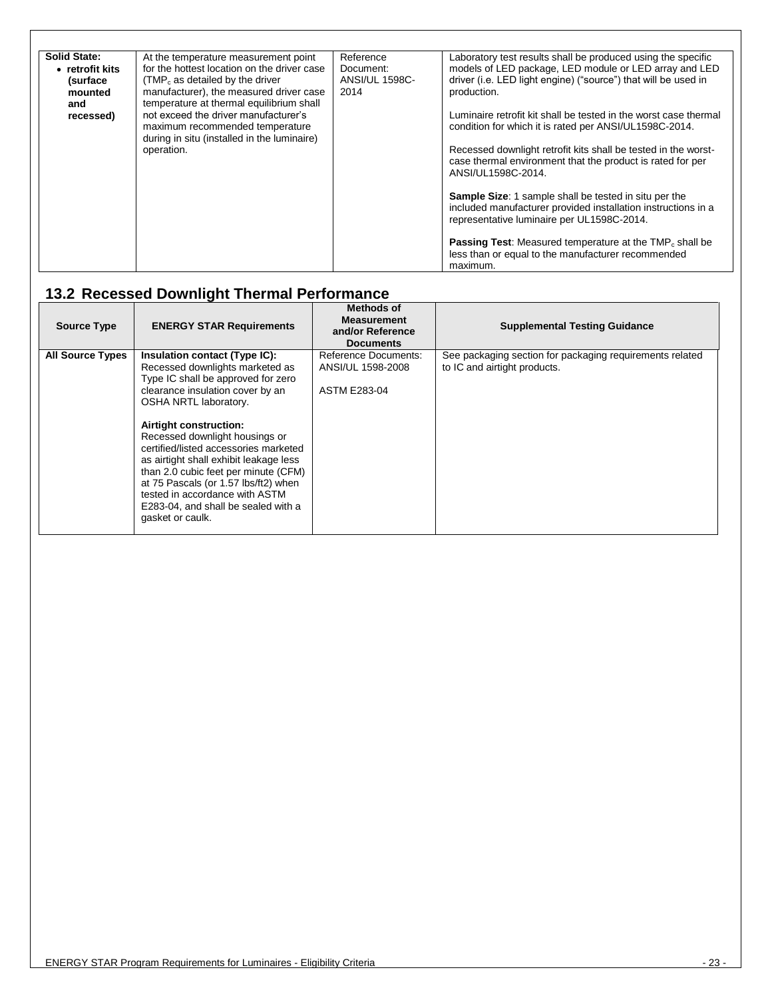| <b>Solid State:</b> | At the temperature measurement point                                                                                   | Reference             | Laboratory test results shall be produced using the specific                                                                                                                |
|---------------------|------------------------------------------------------------------------------------------------------------------------|-----------------------|-----------------------------------------------------------------------------------------------------------------------------------------------------------------------------|
| • retrofit kits     | for the hottest location on the driver case                                                                            | Document:             | models of LED package, LED module or LED array and LED                                                                                                                      |
| (surface            | $(TMPc$ as detailed by the driver                                                                                      | <b>ANSI/UL 1598C-</b> | driver (i.e. LED light engine) ("source") that will be used in                                                                                                              |
| mounted             | manufacturer), the measured driver case                                                                                | 2014                  | production.                                                                                                                                                                 |
| and                 | temperature at thermal equilibrium shall                                                                               |                       |                                                                                                                                                                             |
| recessed)           | not exceed the driver manufacturer's<br>maximum recommended temperature<br>during in situ (installed in the luminaire) |                       | Luminaire retrofit kit shall be tested in the worst case thermal<br>condition for which it is rated per ANSI/UL1598C-2014.                                                  |
|                     | operation.                                                                                                             |                       | Recessed downlight retrofit kits shall be tested in the worst-<br>case thermal environment that the product is rated for per<br>ANSI/UL1598C-2014.                          |
|                     |                                                                                                                        |                       | <b>Sample Size:</b> 1 sample shall be tested in situ per the<br>included manufacturer provided installation instructions in a<br>representative luminaire per UL1598C-2014. |
|                     |                                                                                                                        |                       | <b>Passing Test:</b> Measured temperature at the $\text{TMP}_c$ shall be<br>less than or equal to the manufacturer recommended<br>maximum.                                  |

# <span id="page-22-0"></span>**13.2 Recessed Downlight Thermal Performance**

<span id="page-22-1"></span>

| <b>Source Type</b>      | <b>ENERGY STAR Requirements</b>                                                                                                                                                                                                                                                                                                                                                                                                                                                                 | Methods of<br><b>Measurement</b><br>and/or Reference<br><b>Documents</b> | <b>Supplemental Testing Guidance</b>                                                     |
|-------------------------|-------------------------------------------------------------------------------------------------------------------------------------------------------------------------------------------------------------------------------------------------------------------------------------------------------------------------------------------------------------------------------------------------------------------------------------------------------------------------------------------------|--------------------------------------------------------------------------|------------------------------------------------------------------------------------------|
| <b>All Source Types</b> | Insulation contact (Type IC):<br>Recessed downlights marketed as<br>Type IC shall be approved for zero<br>clearance insulation cover by an<br>OSHA NRTL laboratory.<br>Airtight construction:<br>Recessed downlight housings or<br>certified/listed accessories marketed<br>as airtight shall exhibit leakage less<br>than 2.0 cubic feet per minute (CFM)<br>at 75 Pascals (or 1.57 lbs/ft2) when<br>tested in accordance with ASTM<br>E283-04, and shall be sealed with a<br>gasket or caulk. | <b>Reference Documents:</b><br>ANSI/UL 1598-2008<br><b>ASTM E283-04</b>  | See packaging section for packaging requirements related<br>to IC and airtight products. |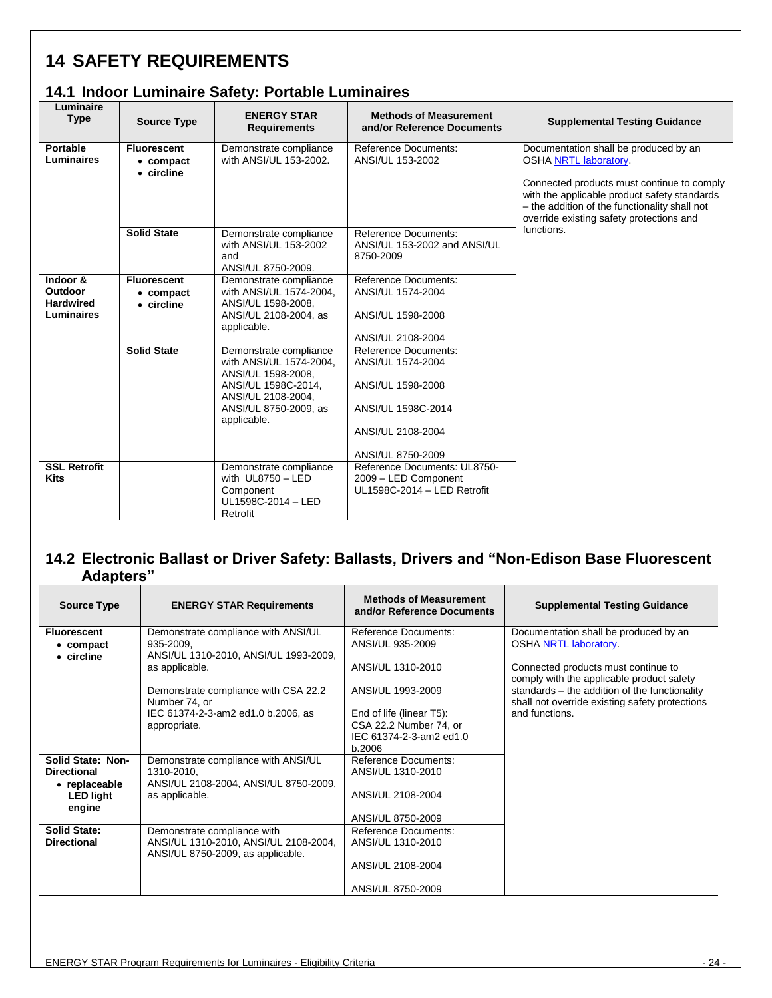# <span id="page-23-0"></span>**14 SAFETY REQUIREMENTS**

#### <span id="page-23-1"></span>**14.1 Indoor Luminaire Safety: Portable Luminaires**

| Luminaire<br><b>Type</b>                              | <b>Source Type</b>                            | <b>ENERGY STAR</b><br><b>Requirements</b>                                                                                                                    | <b>Methods of Measurement</b><br>and/or Reference Documents                                                                    | <b>Supplemental Testing Guidance</b>                                                                                                                                                                                                                             |
|-------------------------------------------------------|-----------------------------------------------|--------------------------------------------------------------------------------------------------------------------------------------------------------------|--------------------------------------------------------------------------------------------------------------------------------|------------------------------------------------------------------------------------------------------------------------------------------------------------------------------------------------------------------------------------------------------------------|
| Portable<br>Luminaires                                | <b>Fluorescent</b><br>• compact<br>• circline | Demonstrate compliance<br>with ANSI/UL 153-2002.                                                                                                             | Reference Documents:<br>ANSI/UL 153-2002                                                                                       | Documentation shall be produced by an<br><b>OSHA NRTL laboratory.</b><br>Connected products must continue to comply<br>with the applicable product safety standards<br>- the addition of the functionality shall not<br>override existing safety protections and |
|                                                       | <b>Solid State</b>                            | Demonstrate compliance<br>with ANSI/UL 153-2002<br>and<br>ANSI/UL 8750-2009.                                                                                 | <b>Reference Documents:</b><br>ANSI/UL 153-2002 and ANSI/UL<br>8750-2009                                                       | functions.                                                                                                                                                                                                                                                       |
| Indoor &<br>Outdoor<br><b>Hardwired</b><br>Luminaires | <b>Fluorescent</b><br>• compact<br>• circline | Demonstrate compliance<br>with ANSI/UL 1574-2004,<br>ANSI/UL 1598-2008.<br>ANSI/UL 2108-2004, as<br>applicable.                                              | <b>Reference Documents:</b><br>ANSI/UL 1574-2004<br>ANSI/UL 1598-2008<br>ANSI/UL 2108-2004                                     |                                                                                                                                                                                                                                                                  |
|                                                       | <b>Solid State</b>                            | Demonstrate compliance<br>with ANSI/UL 1574-2004,<br>ANSI/UL 1598-2008.<br>ANSI/UL 1598C-2014.<br>ANSI/UL 2108-2004,<br>ANSI/UL 8750-2009, as<br>applicable. | Reference Documents:<br>ANSI/UL 1574-2004<br>ANSI/UL 1598-2008<br>ANSI/UL 1598C-2014<br>ANSI/UL 2108-2004<br>ANSI/UL 8750-2009 |                                                                                                                                                                                                                                                                  |
| <b>SSL Retrofit</b><br><b>Kits</b>                    |                                               | Demonstrate compliance<br>with $UL8750 - LED$<br>Component<br>UL1598C-2014 - LED<br>Retrofit                                                                 | Reference Documents: UL8750-<br>2009 - LED Component<br>UL1598C-2014 - LED Retrofit                                            |                                                                                                                                                                                                                                                                  |

#### <span id="page-23-2"></span>**14.2 Electronic Ballast or Driver Safety: Ballasts, Drivers and "Non-Edison Base Fluorescent Adapters"**

| <b>Source Type</b>                      | <b>ENERGY STAR Requirements</b>                       | <b>Methods of Measurement</b><br>and/or Reference Documents | <b>Supplemental Testing Guidance</b>                                                            |
|-----------------------------------------|-------------------------------------------------------|-------------------------------------------------------------|-------------------------------------------------------------------------------------------------|
| <b>Fluorescent</b>                      | Demonstrate compliance with ANSI/UL                   | Reference Documents:                                        | Documentation shall be produced by an                                                           |
| $\bullet$ compact<br>$\bullet$ circline | 935-2009,<br>ANSI/UL 1310-2010, ANSI/UL 1993-2009,    | ANSI/UL 935-2009                                            | <b>OSHA NRTL laboratory.</b>                                                                    |
|                                         | as applicable.                                        | ANSI/UL 1310-2010                                           | Connected products must continue to<br>comply with the applicable product safety                |
|                                         | Demonstrate compliance with CSA 22.2<br>Number 74, or | ANSI/UL 1993-2009                                           | standards - the addition of the functionality<br>shall not override existing safety protections |
|                                         | IEC 61374-2-3-am2 ed1.0 b.2006, as                    | End of life (linear T5):                                    | and functions.                                                                                  |
|                                         | appropriate.                                          | CSA 22.2 Number 74, or                                      |                                                                                                 |
|                                         |                                                       | IEC 61374-2-3-am2 ed1.0<br>b.2006                           |                                                                                                 |
| Solid State: Non-                       | Demonstrate compliance with ANSI/UL                   | <b>Reference Documents:</b>                                 |                                                                                                 |
| <b>Directional</b>                      | 1310-2010,                                            | ANSI/UL 1310-2010                                           |                                                                                                 |
| • replaceable                           | ANSI/UL 2108-2004, ANSI/UL 8750-2009,                 |                                                             |                                                                                                 |
| <b>LED light</b><br>engine              | as applicable.                                        | ANSI/UL 2108-2004                                           |                                                                                                 |
|                                         |                                                       | ANSI/UL 8750-2009                                           |                                                                                                 |
| <b>Solid State:</b>                     | Demonstrate compliance with                           | <b>Reference Documents:</b>                                 |                                                                                                 |
| <b>Directional</b>                      | ANSI/UL 1310-2010, ANSI/UL 2108-2004,                 | ANSI/UL 1310-2010                                           |                                                                                                 |
|                                         | ANSI/UL 8750-2009, as applicable.                     | ANSI/UL 2108-2004                                           |                                                                                                 |
|                                         |                                                       | ANSI/UL 8750-2009                                           |                                                                                                 |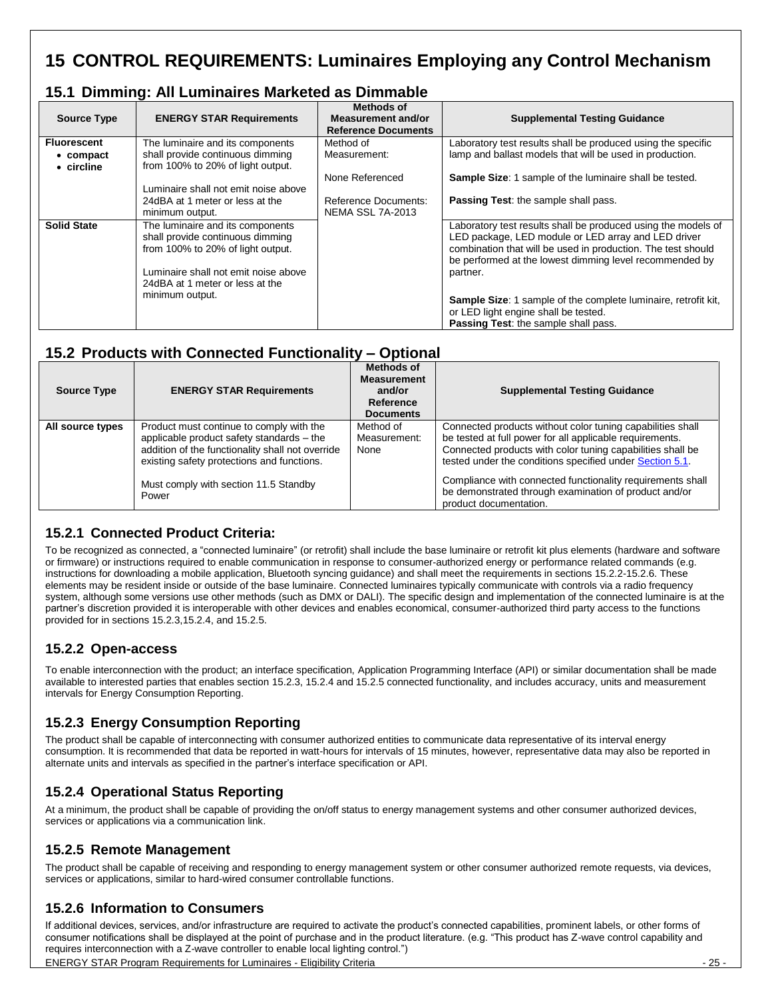# <span id="page-24-0"></span>**15 CONTROL REQUIREMENTS: Luminaires Employing any Control Mechanism**

#### <span id="page-24-1"></span>**15.1 Dimming: All Luminaires Marketed as Dimmable**

| <b>Source Type</b>                                    | <b>ENERGY STAR Requirements</b>                                                                           | Methods of<br>Measurement and/or<br><b>Reference Documents</b> | <b>Supplemental Testing Guidance</b>                                                                                                                                                                                                            |
|-------------------------------------------------------|-----------------------------------------------------------------------------------------------------------|----------------------------------------------------------------|-------------------------------------------------------------------------------------------------------------------------------------------------------------------------------------------------------------------------------------------------|
| <b>Fluorescent</b><br>• compact<br>$\bullet$ circline | The luminaire and its components<br>shall provide continuous dimming<br>from 100% to 20% of light output. | Method of<br>Measurement:                                      | Laboratory test results shall be produced using the specific<br>lamp and ballast models that will be used in production.                                                                                                                        |
|                                                       |                                                                                                           | None Referenced                                                | <b>Sample Size: 1 sample of the luminaire shall be tested.</b>                                                                                                                                                                                  |
|                                                       | Luminaire shall not emit noise above                                                                      |                                                                |                                                                                                                                                                                                                                                 |
|                                                       | 24dBA at 1 meter or less at the                                                                           | Reference Documents:                                           | Passing Test: the sample shall pass.                                                                                                                                                                                                            |
|                                                       | minimum output.                                                                                           | <b>NEMA SSL 7A-2013</b>                                        |                                                                                                                                                                                                                                                 |
| <b>Solid State</b>                                    | The luminaire and its components<br>shall provide continuous dimming<br>from 100% to 20% of light output. |                                                                | Laboratory test results shall be produced using the models of<br>LED package, LED module or LED array and LED driver<br>combination that will be used in production. The test should<br>be performed at the lowest dimming level recommended by |
|                                                       | Luminaire shall not emit noise above<br>24dBA at 1 meter or less at the                                   |                                                                | partner.                                                                                                                                                                                                                                        |
|                                                       | minimum output.                                                                                           |                                                                | <b>Sample Size: 1</b> sample of the complete luminaire, retrofit kit,<br>or LED light engine shall be tested.<br><b>Passing Test:</b> the sample shall pass.                                                                                    |

#### <span id="page-24-2"></span>**15.2 Products with Connected Functionality – Optional**

| <b>Source Type</b> | <b>ENERGY STAR Requirements</b>                                                                                                                                                                                                           | <b>Methods of</b><br><b>Measurement</b><br>and/or<br>Reference<br><b>Documents</b> | <b>Supplemental Testing Guidance</b>                                                                                                                                                                                                                                                                                                                                                              |
|--------------------|-------------------------------------------------------------------------------------------------------------------------------------------------------------------------------------------------------------------------------------------|------------------------------------------------------------------------------------|---------------------------------------------------------------------------------------------------------------------------------------------------------------------------------------------------------------------------------------------------------------------------------------------------------------------------------------------------------------------------------------------------|
| All source types   | Product must continue to comply with the<br>applicable product safety standards - the<br>addition of the functionality shall not override<br>existing safety protections and functions.<br>Must comply with section 11.5 Standby<br>Power | Method of<br>Measurement:<br>None                                                  | Connected products without color tuning capabilities shall<br>be tested at full power for all applicable requirements.<br>Connected products with color tuning capabilities shall be<br>tested under the conditions specified under Section 5.1.<br>Compliance with connected functionality requirements shall<br>be demonstrated through examination of product and/or<br>product documentation. |

#### <span id="page-24-3"></span>**15.2.1 Connected Product Criteria:**

To be recognized as connected, a "connected luminaire" (or retrofit) shall include the base luminaire or retrofit kit plus elements (hardware and software or firmware) or instructions required to enable communication in response to consumer-authorized energy or performance related commands (e.g. instructions for downloading a mobile application, Bluetooth syncing guidance) and shall meet the requirements in sections 15.2.2-15.2.6. These elements may be resident inside or outside of the base luminaire. Connected luminaires typically communicate with controls via a radio frequency system, although some versions use other methods (such as DMX or DALI). The specific design and implementation of the connected luminaire is at the partner's discretion provided it is interoperable with other devices and enables economical, consumer-authorized third party access to the functions provided for in sections 15.2.3,15.2.4, and 15.2.5.

#### <span id="page-24-4"></span>**15.2.2 Open-access**

To enable interconnection with the product; an interface specification, Application Programming Interface (API) or similar documentation shall be made available to interested parties that enables section 15.2.3, 15.2.4 and 15.2.5 connected functionality, and includes accuracy, units and measurement intervals for Energy Consumption Reporting.

#### <span id="page-24-5"></span>**15.2.3 Energy Consumption Reporting**

The product shall be capable of interconnecting with consumer authorized entities to communicate data representative of its interval energy consumption. It is recommended that data be reported in watt-hours for intervals of 15 minutes, however, representative data may also be reported in alternate units and intervals as specified in the partner's interface specification or API.

#### <span id="page-24-6"></span>**15.2.4 Operational Status Reporting**

At a minimum, the product shall be capable of providing the on/off status to energy management systems and other consumer authorized devices, services or applications via a communication link.

#### <span id="page-24-7"></span>**15.2.5 Remote Management**

The product shall be capable of receiving and responding to energy management system or other consumer authorized remote requests, via devices, services or applications, similar to hard-wired consumer controllable functions.

#### <span id="page-24-8"></span>**15.2.6 Information to Consumers**

If additional devices, services, and/or infrastructure are required to activate the product's connected capabilities, prominent labels, or other forms of consumer notifications shall be displayed at the point of purchase and in the product literature. (e.g. "This product has Z-wave control capability and requires interconnection with a Z-wave controller to enable local lighting control.")

<span id="page-24-9"></span>ENERGY STAR Program Requirements for Luminaires - Eligibility Criteria - 25 -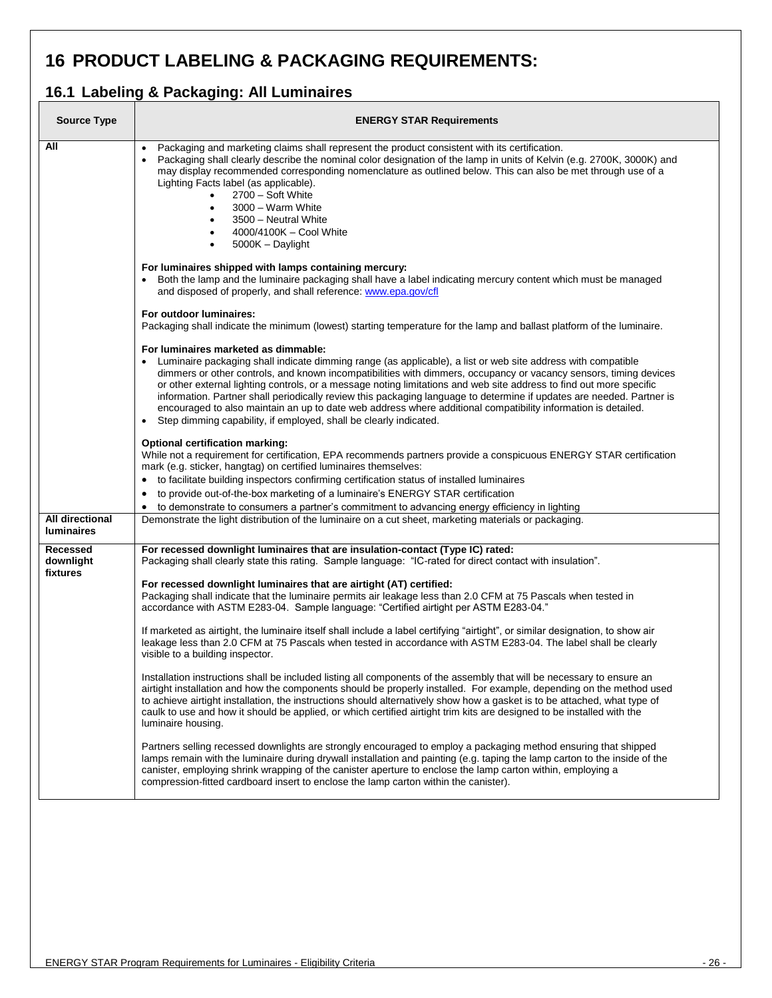# <span id="page-25-0"></span>**16 PRODUCT LABELING & PACKAGING REQUIREMENTS:**

### <span id="page-25-1"></span>**16.1 Labeling & Packaging: All Luminaires**

| <b>ENERGY STAR Requirements</b>                                                                                                                                                                                                                                                                                                                                                                                                                                                                                                                                                                                                                                                                                                                                                                                                                                                                                                                                                                                                                                                                                                                                                                                                                                                                                                                                                                                                                                                                                                                                                                                                                                                                                                                                |  |  |
|----------------------------------------------------------------------------------------------------------------------------------------------------------------------------------------------------------------------------------------------------------------------------------------------------------------------------------------------------------------------------------------------------------------------------------------------------------------------------------------------------------------------------------------------------------------------------------------------------------------------------------------------------------------------------------------------------------------------------------------------------------------------------------------------------------------------------------------------------------------------------------------------------------------------------------------------------------------------------------------------------------------------------------------------------------------------------------------------------------------------------------------------------------------------------------------------------------------------------------------------------------------------------------------------------------------------------------------------------------------------------------------------------------------------------------------------------------------------------------------------------------------------------------------------------------------------------------------------------------------------------------------------------------------------------------------------------------------------------------------------------------------|--|--|
| Packaging and marketing claims shall represent the product consistent with its certification.<br>$\bullet$<br>Packaging shall clearly describe the nominal color designation of the lamp in units of Kelvin (e.g. 2700K, 3000K) and<br>may display recommended corresponding nomenclature as outlined below. This can also be met through use of a<br>Lighting Facts label (as applicable).<br>2700 - Soft White<br>$\bullet$<br>3000 - Warm White<br>$\bullet$<br>3500 - Neutral White<br>$\bullet$<br>4000/4100K - Cool White<br>$\bullet$<br>5000K - Daylight<br>$\bullet$                                                                                                                                                                                                                                                                                                                                                                                                                                                                                                                                                                                                                                                                                                                                                                                                                                                                                                                                                                                                                                                                                                                                                                                  |  |  |
| For luminaires shipped with lamps containing mercury:<br>• Both the lamp and the luminaire packaging shall have a label indicating mercury content which must be managed<br>and disposed of properly, and shall reference: www.epa.gov/cfl                                                                                                                                                                                                                                                                                                                                                                                                                                                                                                                                                                                                                                                                                                                                                                                                                                                                                                                                                                                                                                                                                                                                                                                                                                                                                                                                                                                                                                                                                                                     |  |  |
| For outdoor luminaires:<br>Packaging shall indicate the minimum (lowest) starting temperature for the lamp and ballast platform of the luminaire.                                                                                                                                                                                                                                                                                                                                                                                                                                                                                                                                                                                                                                                                                                                                                                                                                                                                                                                                                                                                                                                                                                                                                                                                                                                                                                                                                                                                                                                                                                                                                                                                              |  |  |
| For luminaires marketed as dimmable:<br>• Luminaire packaging shall indicate dimming range (as applicable), a list or web site address with compatible<br>dimmers or other controls, and known incompatibilities with dimmers, occupancy or vacancy sensors, timing devices<br>or other external lighting controls, or a message noting limitations and web site address to find out more specific<br>information. Partner shall periodically review this packaging language to determine if updates are needed. Partner is<br>encouraged to also maintain an up to date web address where additional compatibility information is detailed.<br>• Step dimming capability, if employed, shall be clearly indicated.                                                                                                                                                                                                                                                                                                                                                                                                                                                                                                                                                                                                                                                                                                                                                                                                                                                                                                                                                                                                                                            |  |  |
| <b>Optional certification marking:</b><br>While not a requirement for certification, EPA recommends partners provide a conspicuous ENERGY STAR certification<br>mark (e.g. sticker, hangtag) on certified luminaires themselves:                                                                                                                                                                                                                                                                                                                                                                                                                                                                                                                                                                                                                                                                                                                                                                                                                                                                                                                                                                                                                                                                                                                                                                                                                                                                                                                                                                                                                                                                                                                               |  |  |
| • to facilitate building inspectors confirming certification status of installed luminaires<br>to provide out-of-the-box marketing of a luminaire's ENERGY STAR certification<br>$\bullet$                                                                                                                                                                                                                                                                                                                                                                                                                                                                                                                                                                                                                                                                                                                                                                                                                                                                                                                                                                                                                                                                                                                                                                                                                                                                                                                                                                                                                                                                                                                                                                     |  |  |
| to demonstrate to consumers a partner's commitment to advancing energy efficiency in lighting<br>$\bullet$<br>Demonstrate the light distribution of the luminaire on a cut sheet, marketing materials or packaging.                                                                                                                                                                                                                                                                                                                                                                                                                                                                                                                                                                                                                                                                                                                                                                                                                                                                                                                                                                                                                                                                                                                                                                                                                                                                                                                                                                                                                                                                                                                                            |  |  |
| For recessed downlight luminaires that are insulation-contact (Type IC) rated:<br>Packaging shall clearly state this rating. Sample language: "IC-rated for direct contact with insulation".<br>For recessed downlight luminaires that are airtight (AT) certified:<br>Packaging shall indicate that the luminaire permits air leakage less than 2.0 CFM at 75 Pascals when tested in<br>accordance with ASTM E283-04. Sample language: "Certified airtight per ASTM E283-04."<br>If marketed as airtight, the luminaire itself shall include a label certifying "airtight", or similar designation, to show air<br>leakage less than 2.0 CFM at 75 Pascals when tested in accordance with ASTM E283-04. The label shall be clearly<br>visible to a building inspector.<br>Installation instructions shall be included listing all components of the assembly that will be necessary to ensure an<br>airtight installation and how the components should be properly installed. For example, depending on the method used<br>to achieve airtight installation, the instructions should alternatively show how a gasket is to be attached, what type of<br>caulk to use and how it should be applied, or which certified airtight trim kits are designed to be installed with the<br>luminaire housing.<br>Partners selling recessed downlights are strongly encouraged to employ a packaging method ensuring that shipped<br>lamps remain with the luminaire during drywall installation and painting (e.g. taping the lamp carton to the inside of the<br>canister, employing shrink wrapping of the canister aperture to enclose the lamp carton within, employing a<br>compression-fitted cardboard insert to enclose the lamp carton within the canister). |  |  |
|                                                                                                                                                                                                                                                                                                                                                                                                                                                                                                                                                                                                                                                                                                                                                                                                                                                                                                                                                                                                                                                                                                                                                                                                                                                                                                                                                                                                                                                                                                                                                                                                                                                                                                                                                                |  |  |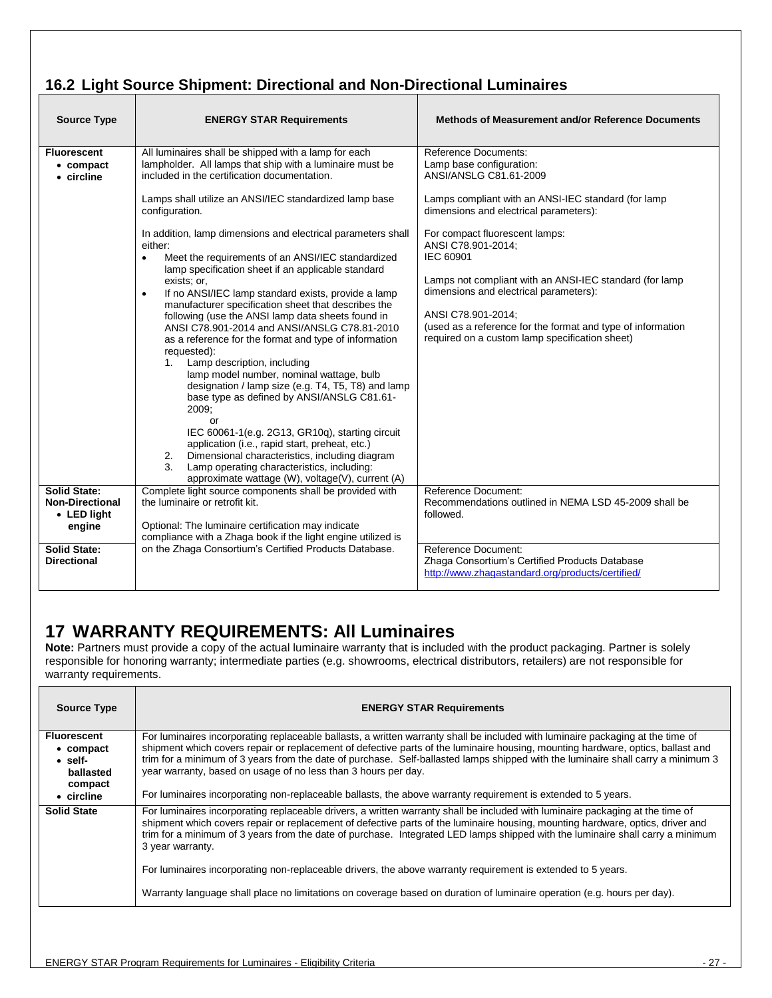# <span id="page-26-0"></span>**16.2 Light Source Shipment: Directional and Non-Directional Luminaires**

| <b>Source Type</b>                                                     | <b>ENERGY STAR Requirements</b>                                                                                                                                                                                                                                                                                                                                                                                                                                                                                                                                                                                                                                                                                                                                                                                                                                                      | Methods of Measurement and/or Reference Documents                                                                                                                                                                                                                                                             |
|------------------------------------------------------------------------|--------------------------------------------------------------------------------------------------------------------------------------------------------------------------------------------------------------------------------------------------------------------------------------------------------------------------------------------------------------------------------------------------------------------------------------------------------------------------------------------------------------------------------------------------------------------------------------------------------------------------------------------------------------------------------------------------------------------------------------------------------------------------------------------------------------------------------------------------------------------------------------|---------------------------------------------------------------------------------------------------------------------------------------------------------------------------------------------------------------------------------------------------------------------------------------------------------------|
| <b>Fluorescent</b><br>• compact<br>• circline                          | All luminaires shall be shipped with a lamp for each<br>lampholder. All lamps that ship with a luminaire must be<br>included in the certification documentation.                                                                                                                                                                                                                                                                                                                                                                                                                                                                                                                                                                                                                                                                                                                     | <b>Reference Documents:</b><br>Lamp base configuration:<br>ANSI/ANSLG C81.61-2009                                                                                                                                                                                                                             |
|                                                                        | Lamps shall utilize an ANSI/IEC standardized lamp base<br>configuration.                                                                                                                                                                                                                                                                                                                                                                                                                                                                                                                                                                                                                                                                                                                                                                                                             | Lamps compliant with an ANSI-IEC standard (for lamp<br>dimensions and electrical parameters):                                                                                                                                                                                                                 |
|                                                                        | In addition, lamp dimensions and electrical parameters shall<br>either:<br>Meet the requirements of an ANSI/IEC standardized<br>$\bullet$<br>lamp specification sheet if an applicable standard<br>exists; or,<br>If no ANSI/IEC lamp standard exists, provide a lamp<br>$\bullet$<br>manufacturer specification sheet that describes the<br>following (use the ANSI lamp data sheets found in<br>ANSI C78.901-2014 and ANSI/ANSLG C78.81-2010<br>as a reference for the format and type of information<br>requested):<br>1. Lamp description, including<br>lamp model number, nominal wattage, bulb<br>designation / lamp size (e.g. T4, T5, T8) and lamp<br>base type as defined by ANSI/ANSLG C81.61-<br>2009:<br>or<br>IEC 60061-1(e.g. 2G13, GR10q), starting circuit<br>application (i.e., rapid start, preheat, etc.)<br>Dimensional characteristics, including diagram<br>2. | For compact fluorescent lamps:<br>ANSI C78.901-2014;<br>IEC 60901<br>Lamps not compliant with an ANSI-IEC standard (for lamp<br>dimensions and electrical parameters):<br>ANSI C78.901-2014;<br>(used as a reference for the format and type of information<br>required on a custom lamp specification sheet) |
|                                                                        | 3.<br>Lamp operating characteristics, including:<br>approximate wattage (W), voltage(V), current (A)                                                                                                                                                                                                                                                                                                                                                                                                                                                                                                                                                                                                                                                                                                                                                                                 |                                                                                                                                                                                                                                                                                                               |
| <b>Solid State:</b><br><b>Non-Directional</b><br>• LED light<br>engine | Complete light source components shall be provided with<br>the luminaire or retrofit kit.<br>Optional: The luminaire certification may indicate<br>compliance with a Zhaga book if the light engine utilized is                                                                                                                                                                                                                                                                                                                                                                                                                                                                                                                                                                                                                                                                      | Reference Document:<br>Recommendations outlined in NEMA LSD 45-2009 shall be<br>followed.                                                                                                                                                                                                                     |
| <b>Solid State:</b><br><b>Directional</b>                              | on the Zhaga Consortium's Certified Products Database.                                                                                                                                                                                                                                                                                                                                                                                                                                                                                                                                                                                                                                                                                                                                                                                                                               | Reference Document:<br>Zhaga Consortium's Certified Products Database<br>http://www.zhagastandard.org/products/certified/                                                                                                                                                                                     |

### <span id="page-26-1"></span>**17 WARRANTY REQUIREMENTS: All Luminaires**

Note: Partners must provide a copy of the actual luminaire warranty that is included with the product packaging. Partner is solely responsible for honoring warranty; intermediate parties (e.g. showrooms, electrical distributors, retailers) are not responsible for warranty requirements.

| <b>Source Type</b>                                                                               | <b>ENERGY STAR Requirements</b>                                                                                                                                                                                                                                                                                                                                                                                                                                                                                                                                                           |
|--------------------------------------------------------------------------------------------------|-------------------------------------------------------------------------------------------------------------------------------------------------------------------------------------------------------------------------------------------------------------------------------------------------------------------------------------------------------------------------------------------------------------------------------------------------------------------------------------------------------------------------------------------------------------------------------------------|
| <b>Fluorescent</b><br>$\bullet$ compact<br>$\bullet$ self-<br>ballasted<br>compact<br>• circline | For luminaires incorporating replaceable ballasts, a written warranty shall be included with luminaire packaging at the time of<br>shipment which covers repair or replacement of defective parts of the luminaire housing, mounting hardware, optics, ballast and<br>trim for a minimum of 3 years from the date of purchase. Self-ballasted lamps shipped with the luminaire shall carry a minimum 3<br>year warranty, based on usage of no less than 3 hours per day.<br>For luminaires incorporating non-replaceable ballasts, the above warranty requirement is extended to 5 years. |
| <b>Solid State</b>                                                                               | For luminaires incorporating replaceable drivers, a written warranty shall be included with luminaire packaging at the time of<br>shipment which covers repair or replacement of defective parts of the luminaire housing, mounting hardware, optics, driver and<br>trim for a minimum of 3 years from the date of purchase. Integrated LED lamps shipped with the luminaire shall carry a minimum<br>3 year warranty.<br>For luminaires incorporating non-replaceable drivers, the above warranty requirement is extended to 5 years.                                                    |
|                                                                                                  | Warranty language shall place no limitations on coverage based on duration of luminaire operation (e.g. hours per day).                                                                                                                                                                                                                                                                                                                                                                                                                                                                   |
|                                                                                                  |                                                                                                                                                                                                                                                                                                                                                                                                                                                                                                                                                                                           |